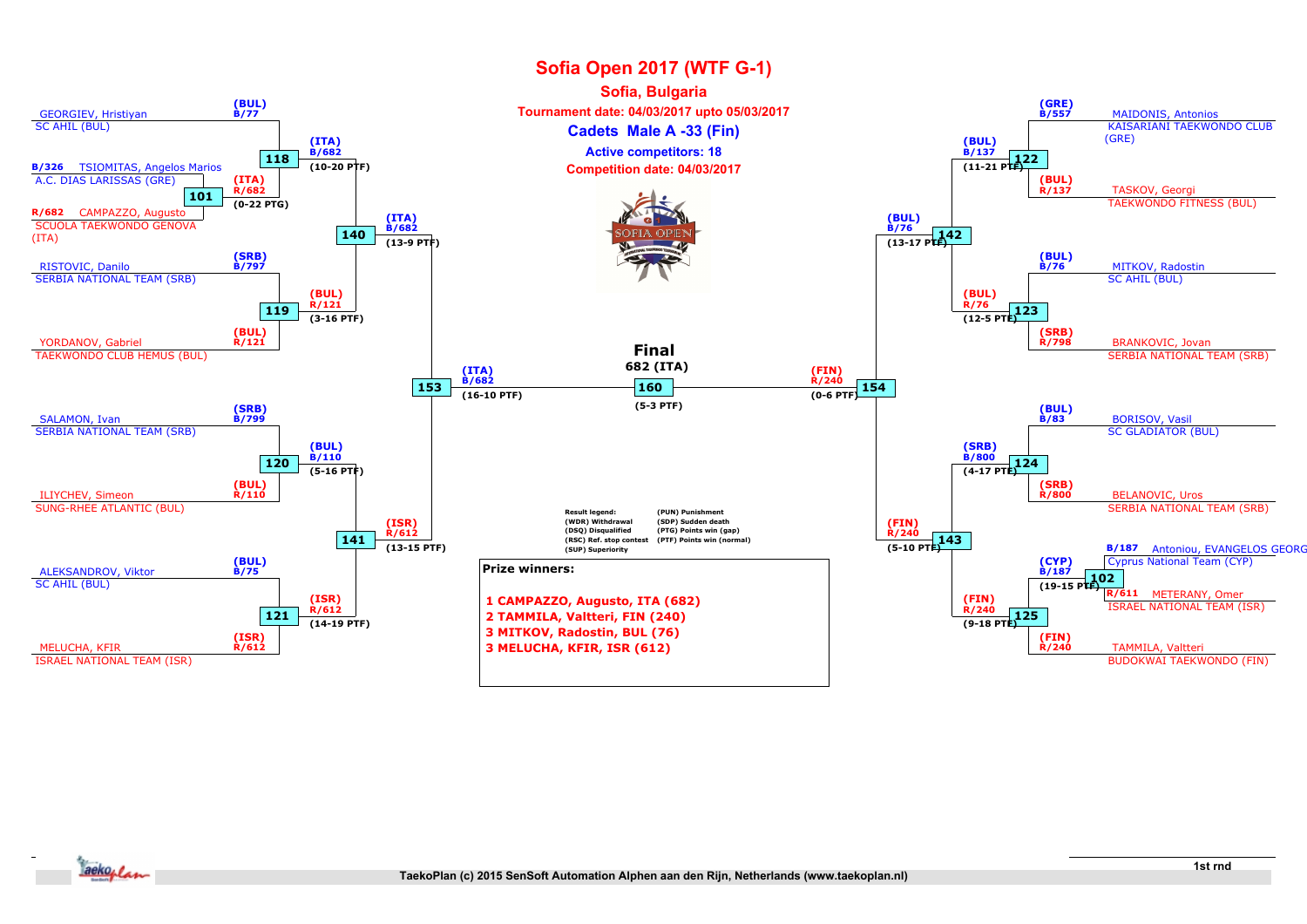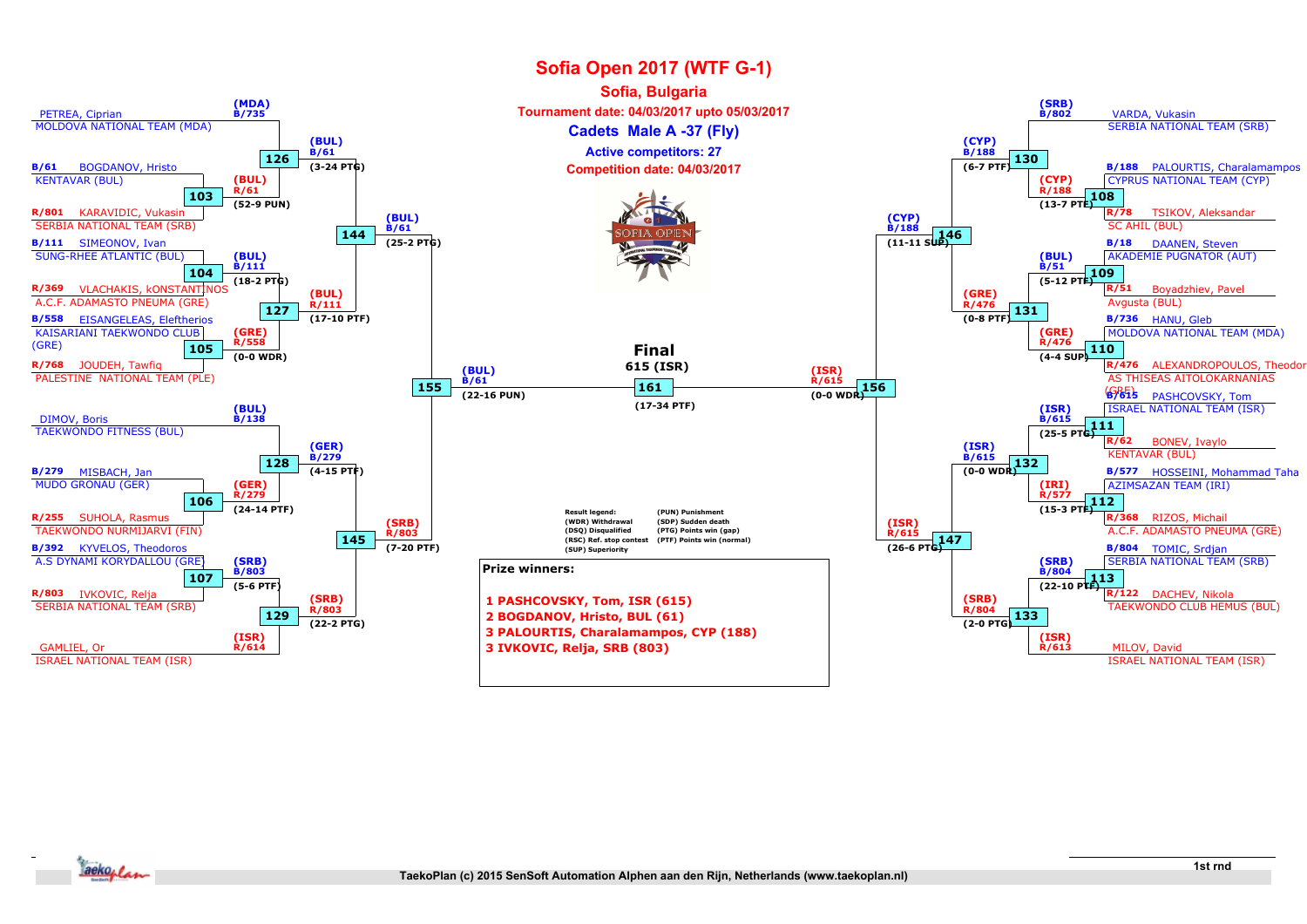

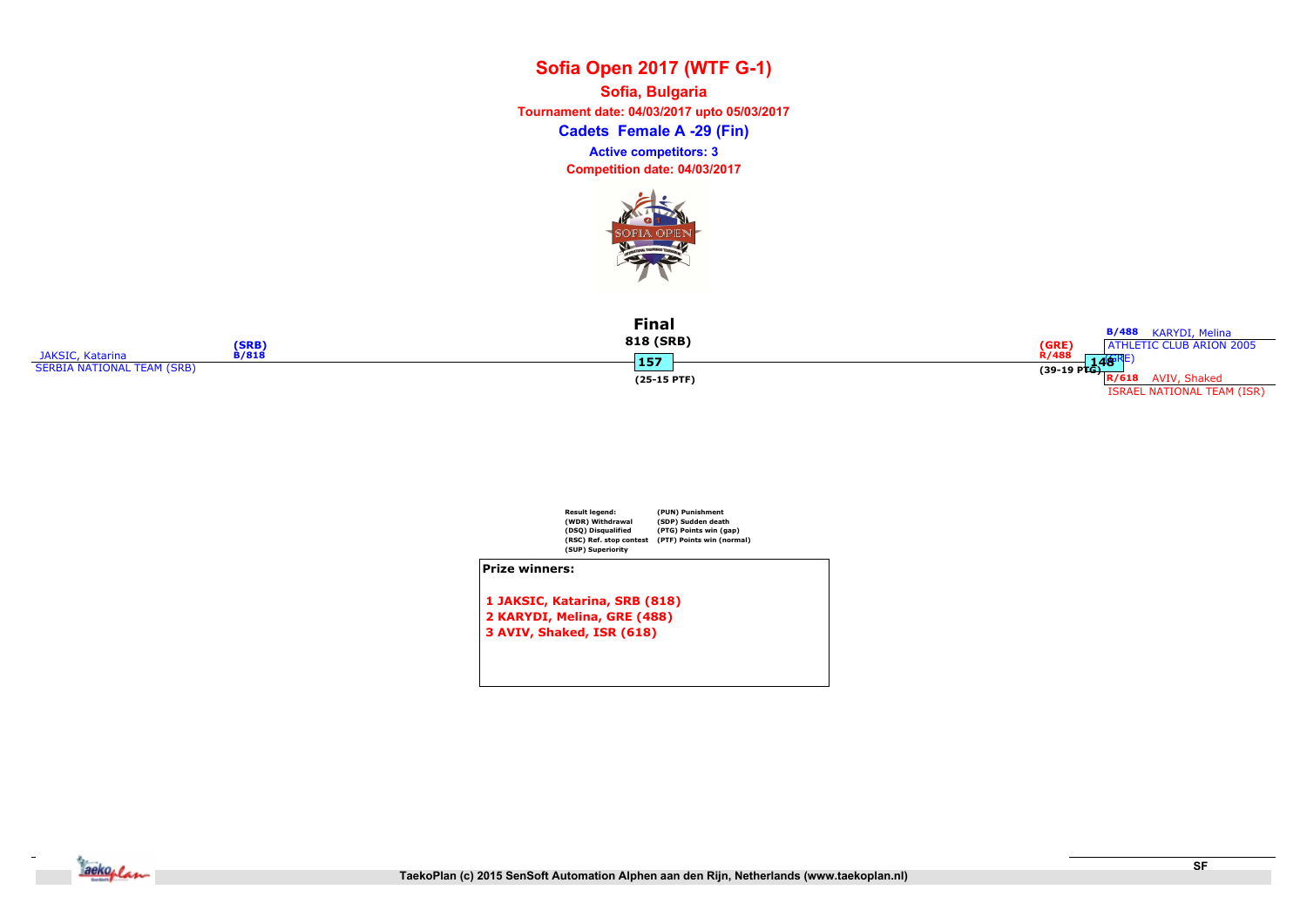Cadets Female A -29 (Fin) Sofia, Bulgaria Tournament date: 04/03/2017 upto 05/03/2017 Competition date: 04/03/2017 Active competitors: 3



|                            | (SRB)        | <b>Final</b><br>818 (SRB) | <b>B/488</b> KARYDI, Melina<br>(GRE)<br>ATHLETIC CLUB ARION 2005 |
|----------------------------|--------------|---------------------------|------------------------------------------------------------------|
| <b>JAKSIC, Katarina</b>    | <b>B/818</b> |                           | <b>R/488</b><br>148'                                             |
| SERBIA NATIONAL TEAM (SRB) |              | 45 Z                      | $(39-19 \text{ P} \overline{\text{G}})$                          |
|                            |              | $(25-15$ PTF)             | AVIV, Shaked<br>R/618                                            |
|                            |              |                           | <b>ISRAEL NATIONAL TEAM (ISR)</b>                                |



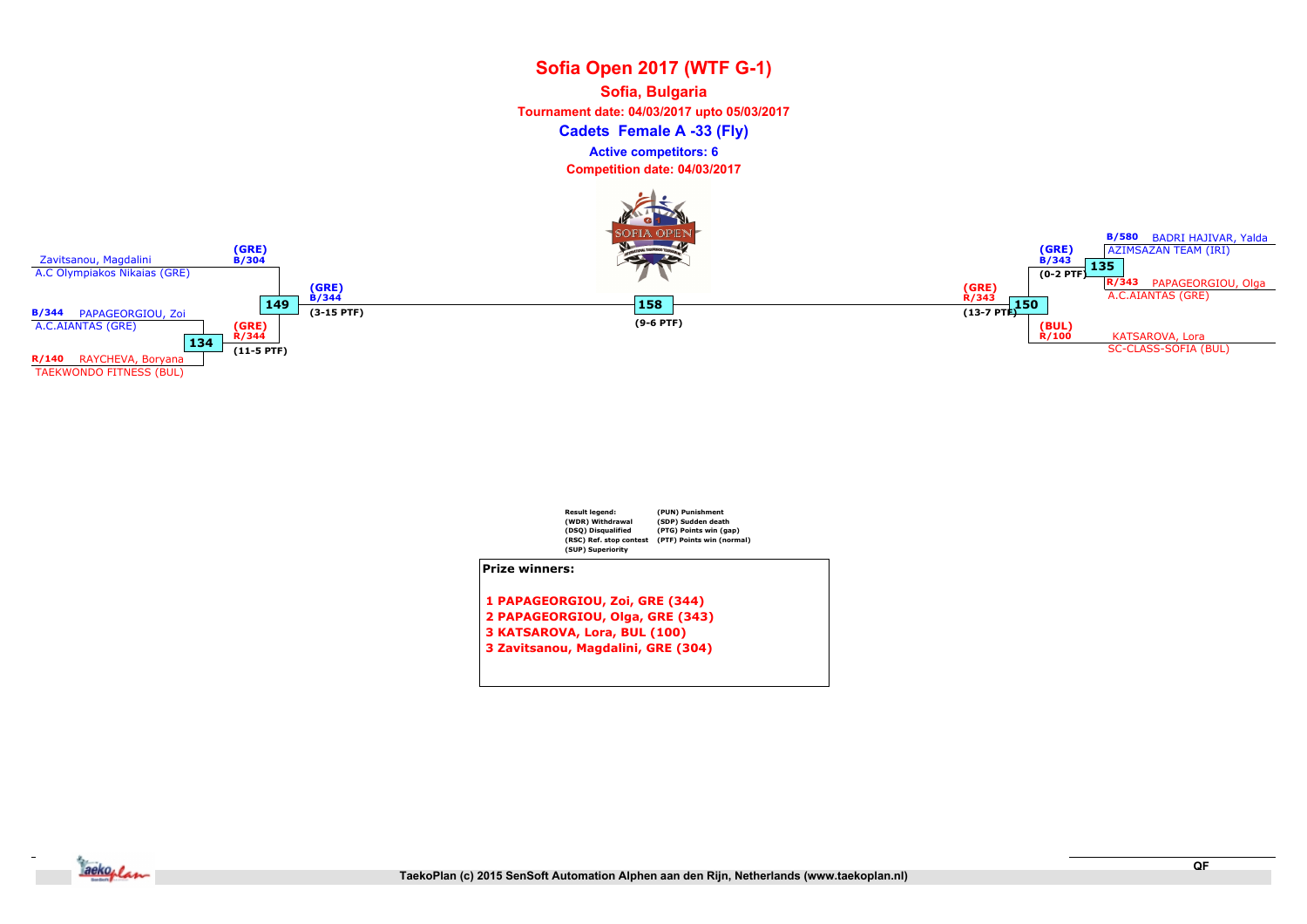## Sofia Open 2017 (WTF G-1) Cadets Female A -33 (Fly) Sofia, Bulgaria Tournament date: 04/03/2017 upto 05/03/2017 Competition date: 04/03/2017 Active competitors: 6





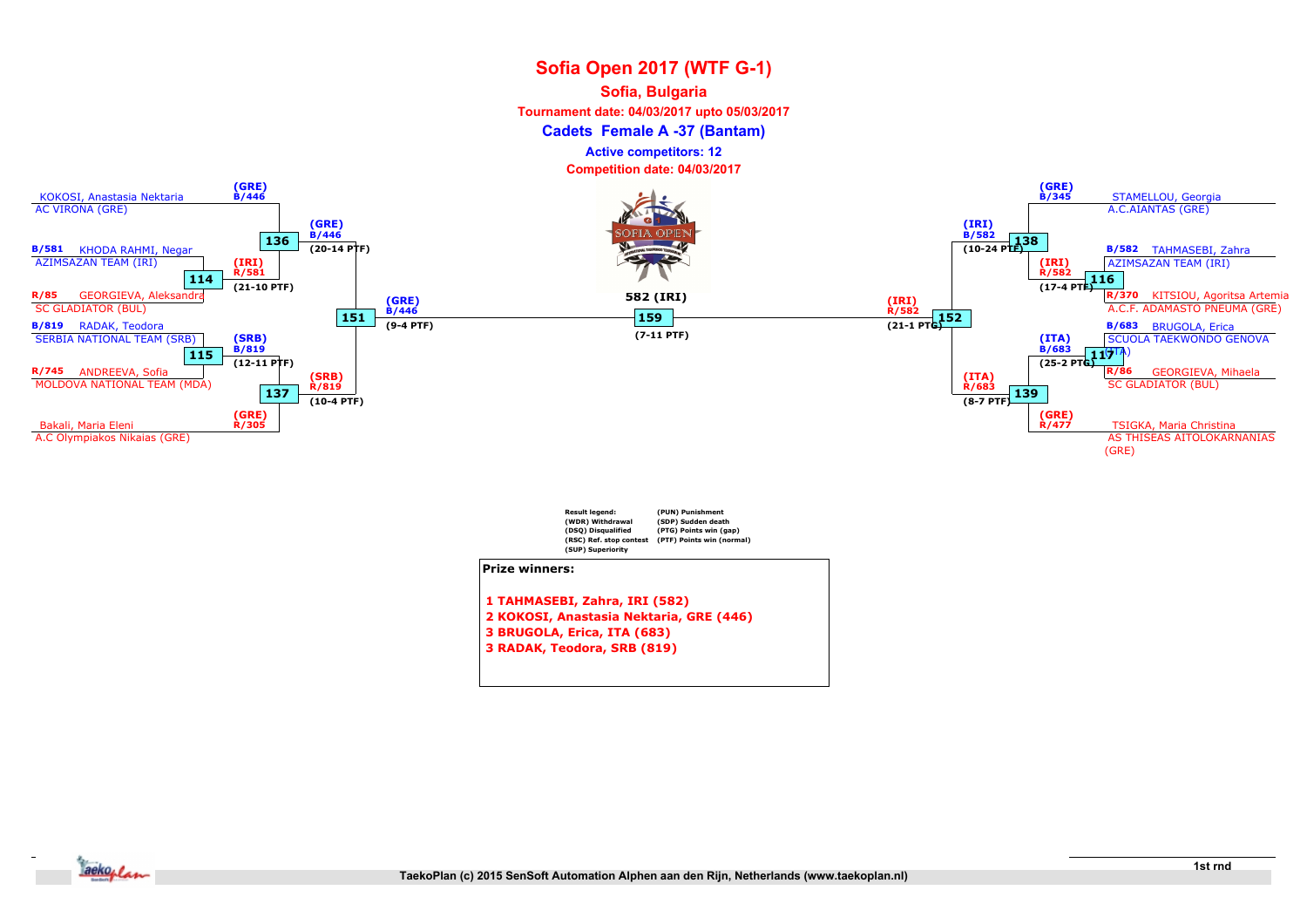#### Sofia, Bulgaria

Tournament date: 04/03/2017 upto 05/03/2017

Cadets Female A -37 (Bantam)

Active competitors: 12

Competition date: 04/03/2017



(DSQ) Disqualified (RSC) Ref. stop contest (SUP) Superiority (PTG) Points win (gap) (PTF) Points win (normal) Prize winners: 1 TAHMASEBI, Zahra, IRI (582) 2 KOKOSI, Anastasia Nektaria, GRE (446) 3 BRUGOLA, Erica, ITA (683) 3 RADAK, Teodora, SRB (819)

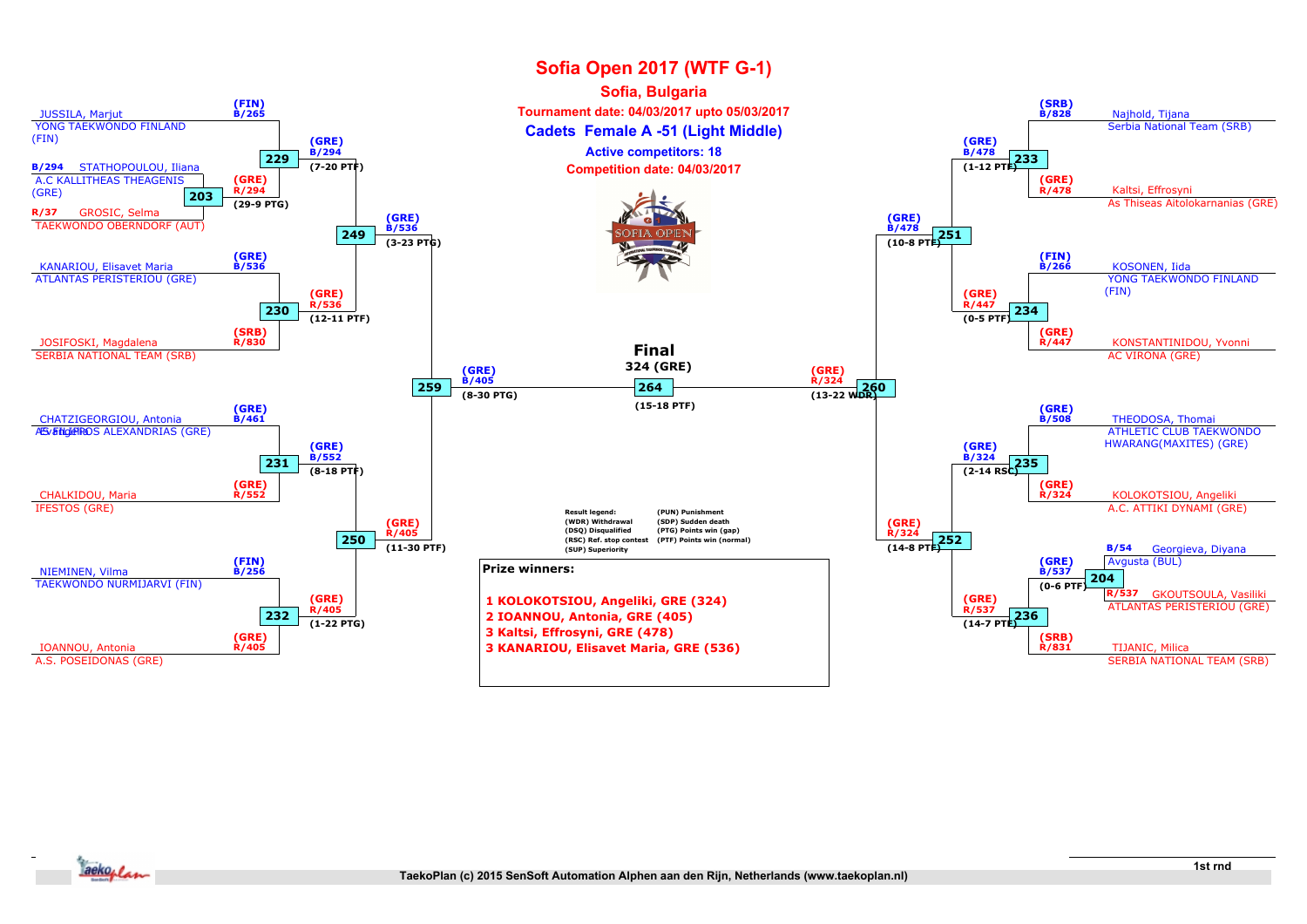

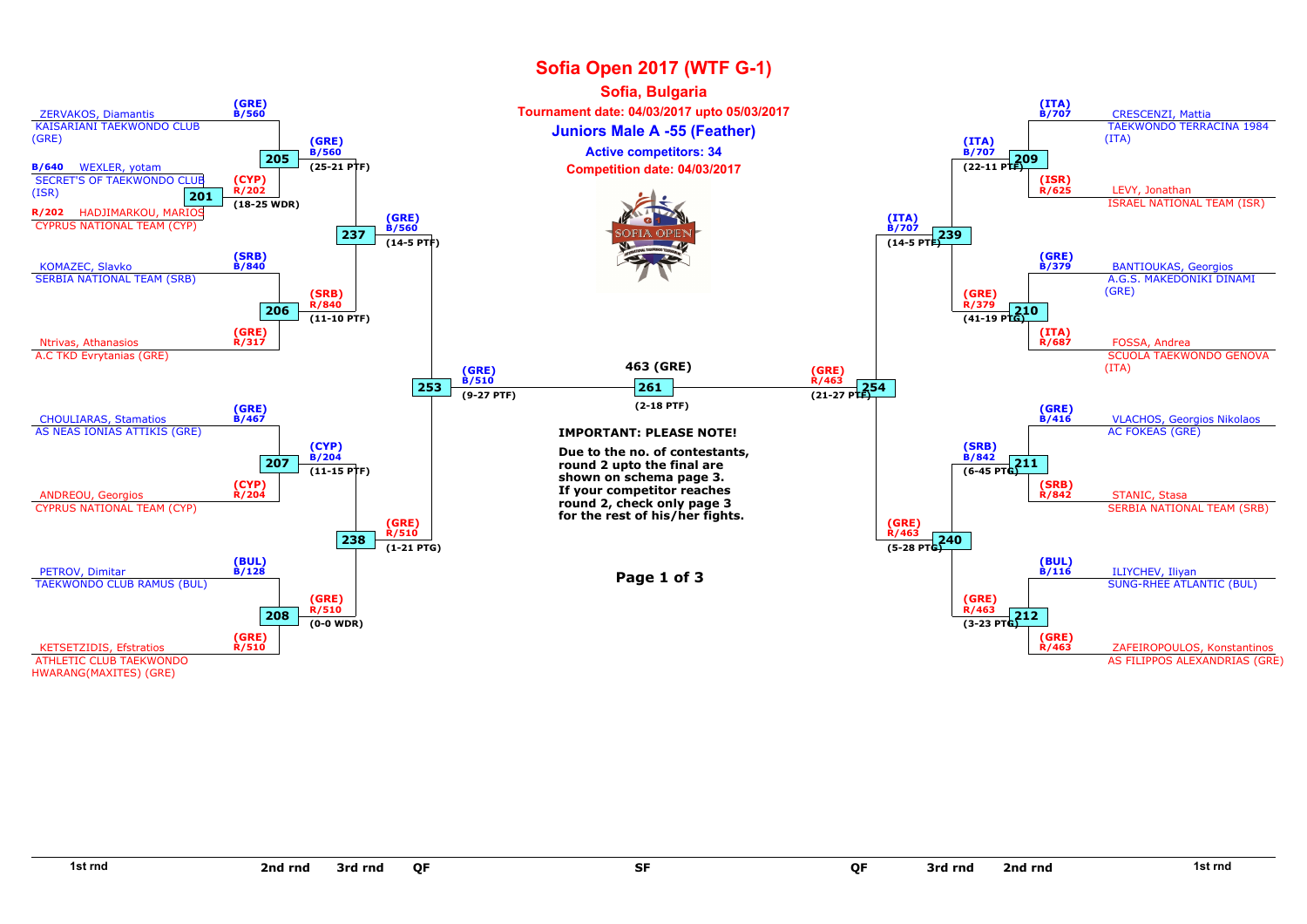

SF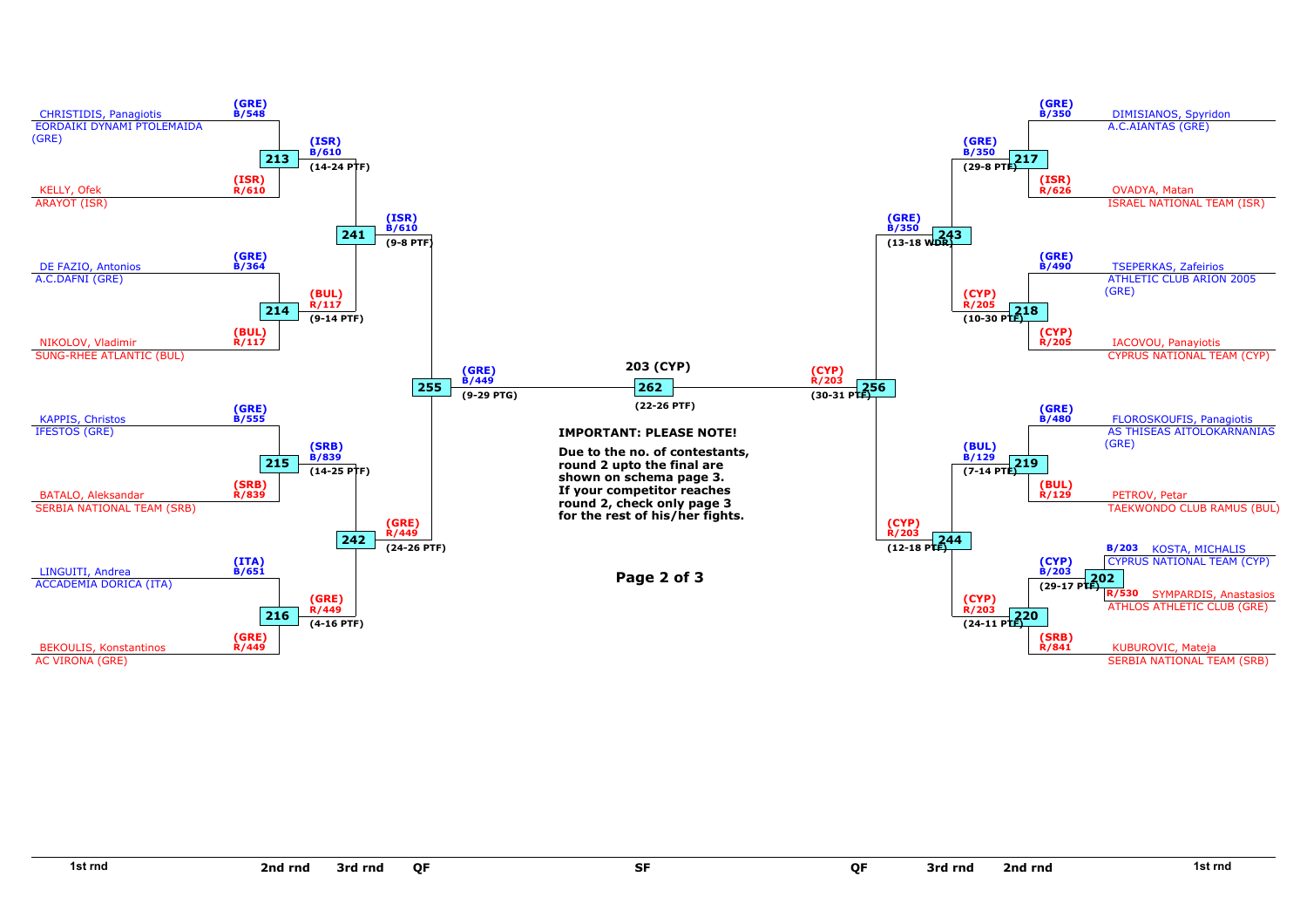

SF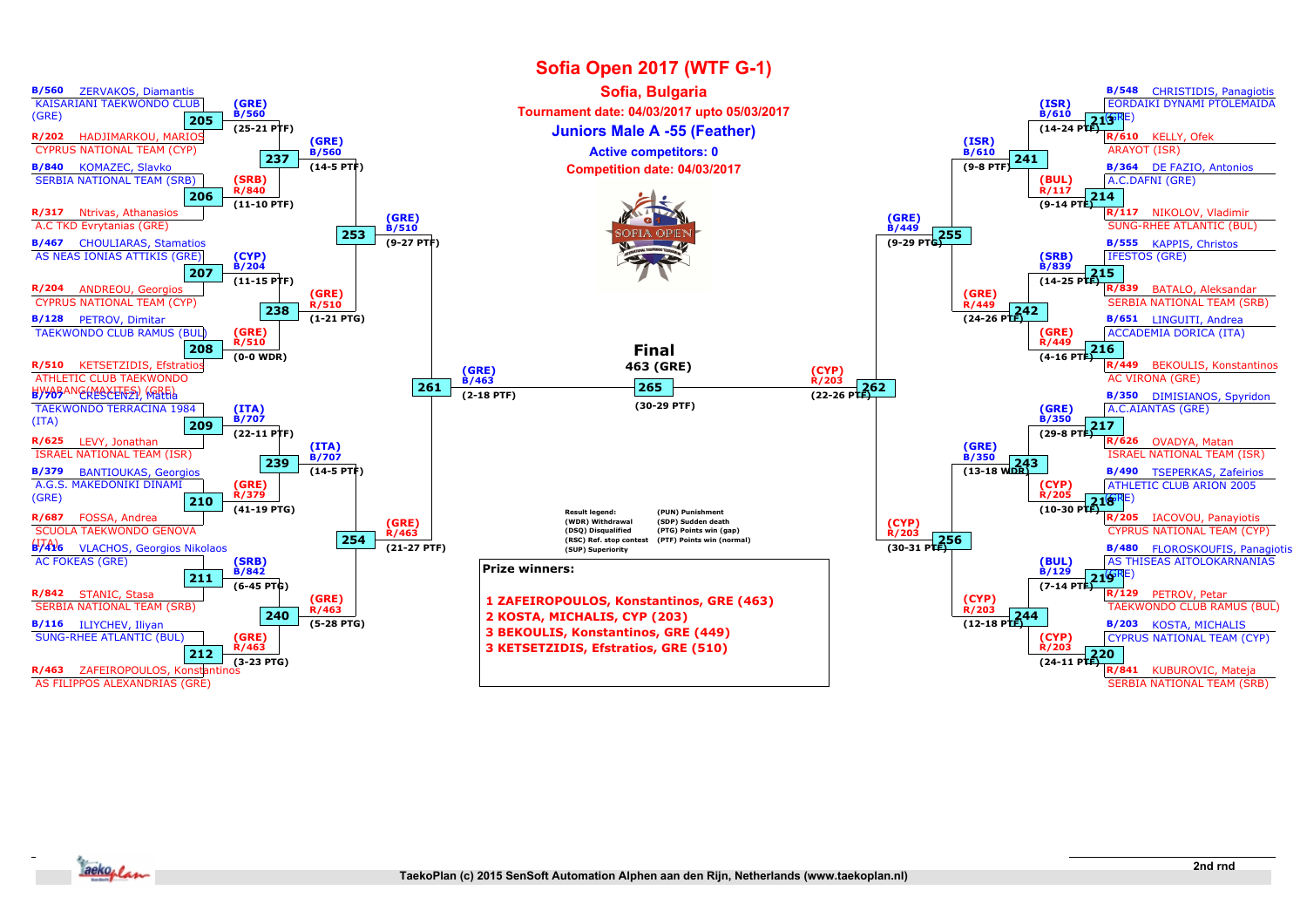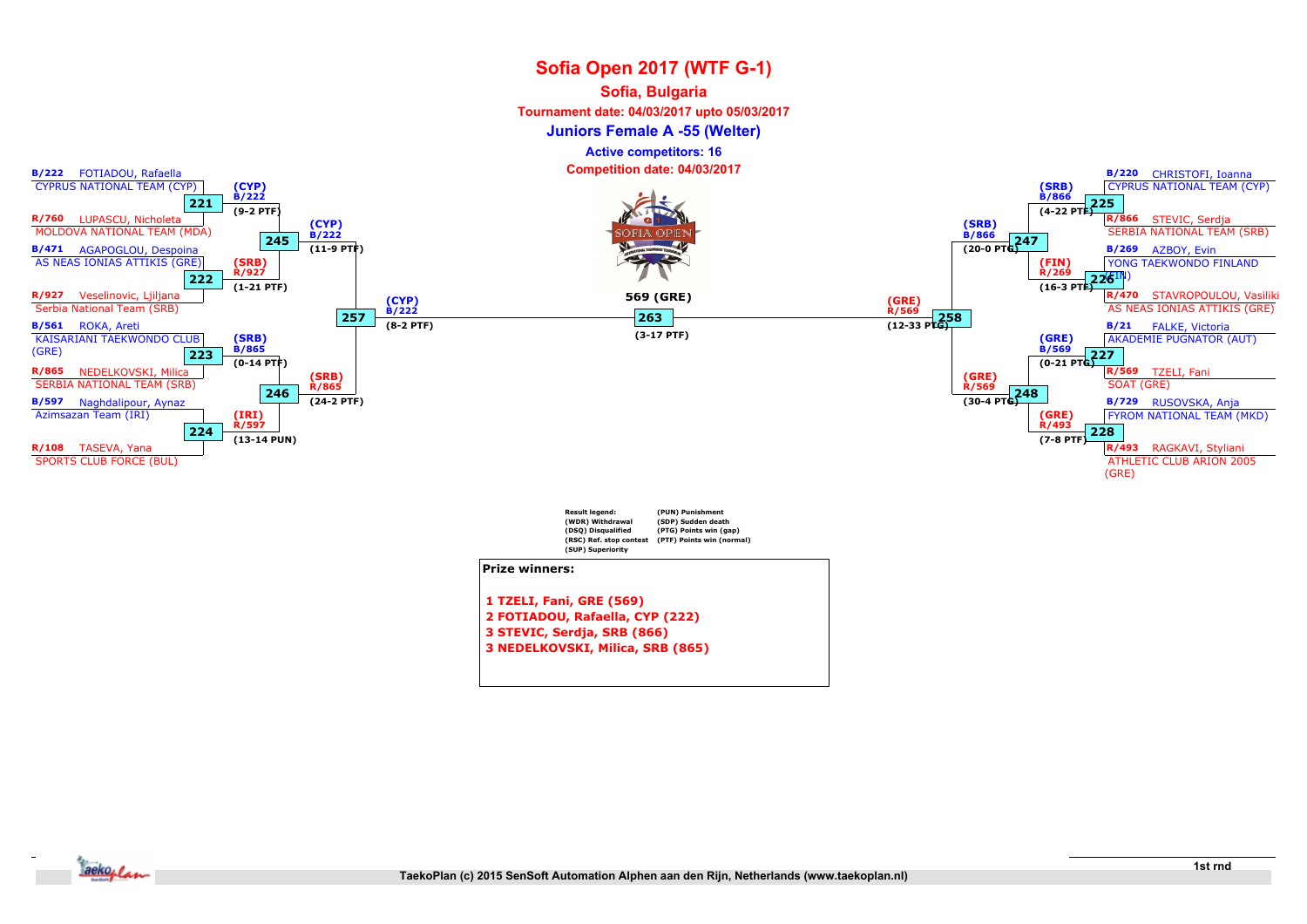#### Sofia, Bulgaria

Tournament date: 04/03/2017 upto 05/03/2017

Juniors Female A -55 (Welter)

Active competitors: 16

Competition date: 04/03/2017



3 STEVIC, Serdja, SRB (866)

3 NEDELKOVSKI, Milica, SRB (865)

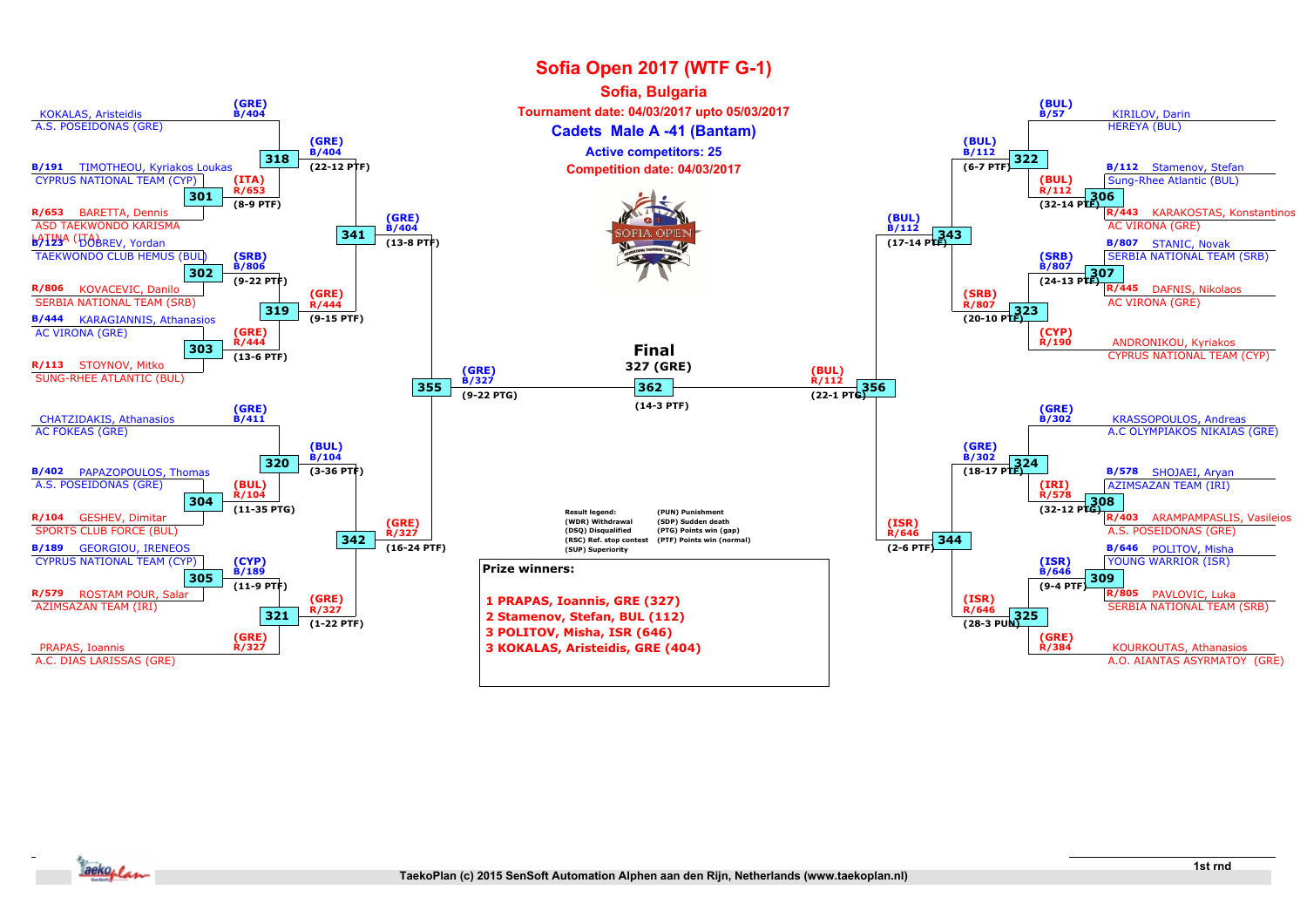

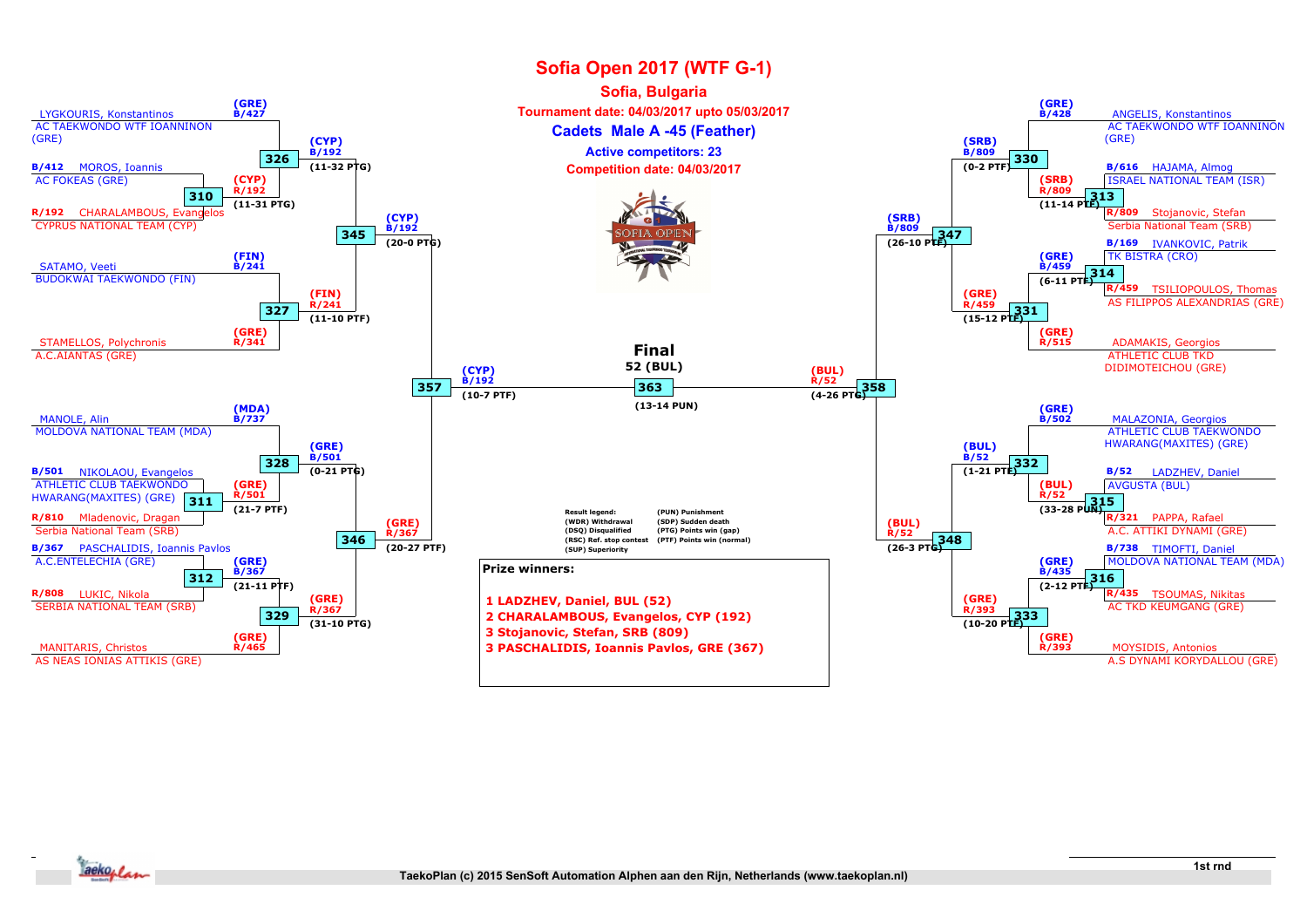

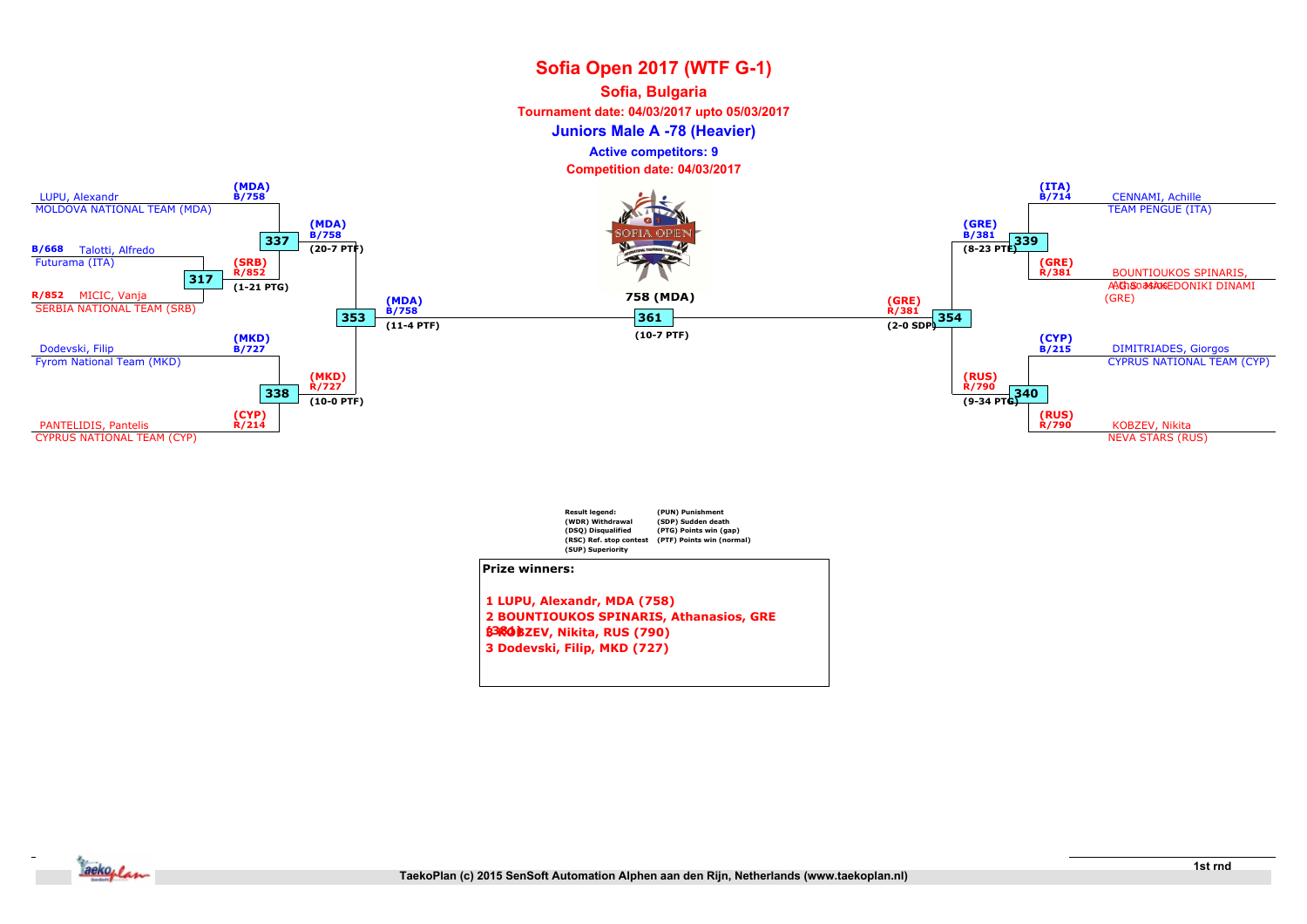#### Sofia, Bulgaria

Tournament date: 04/03/2017 upto 05/03/2017

Juniors Male A -78 (Heavier)

Active competitors: 9





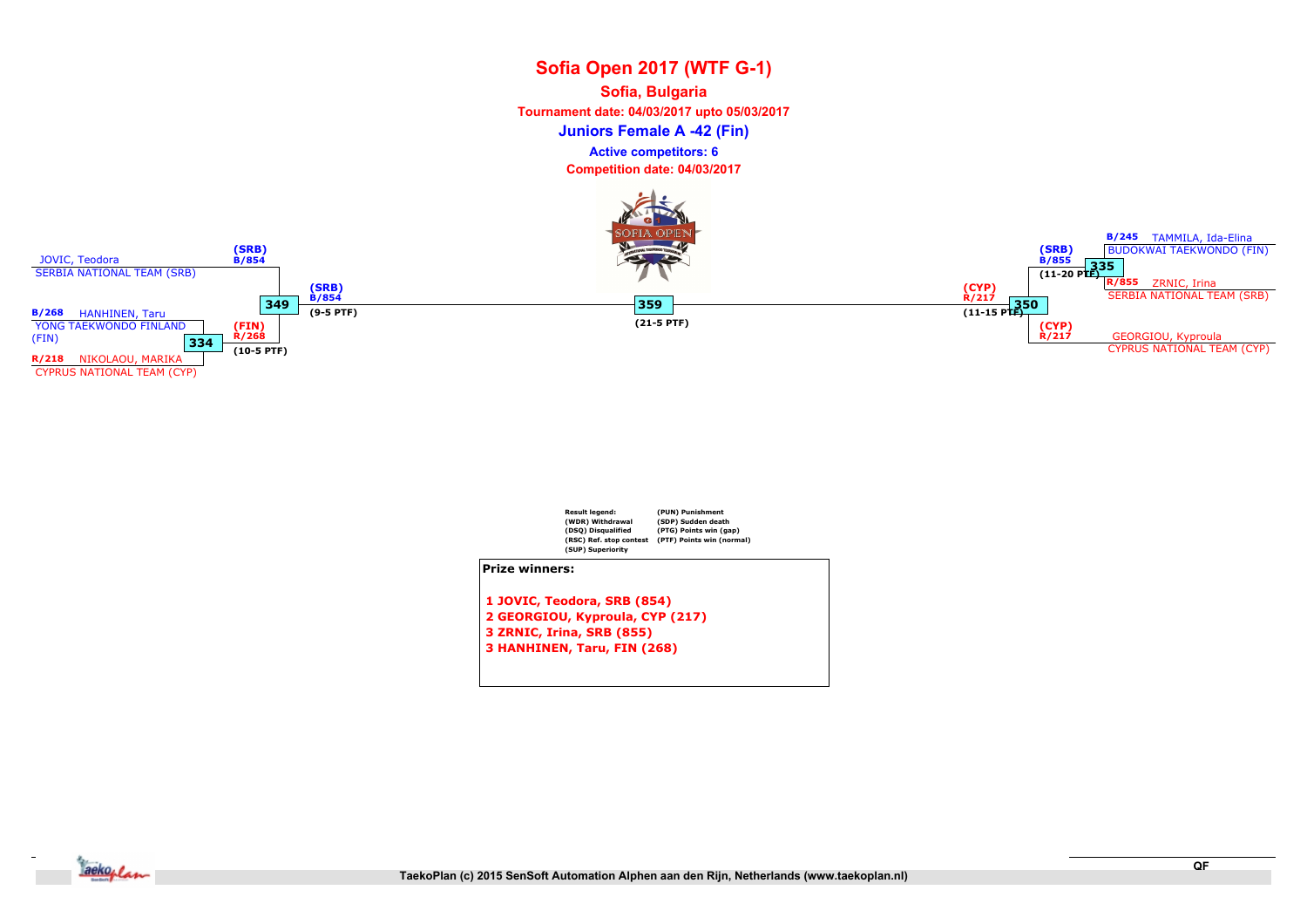## Sofia Open 2017 (WTF G-1) Juniors Female A -42 (Fin) Sofia, Bulgaria Tournament date: 04/03/2017 upto 05/03/2017 Competition date: 04/03/2017 Active competitors: 6





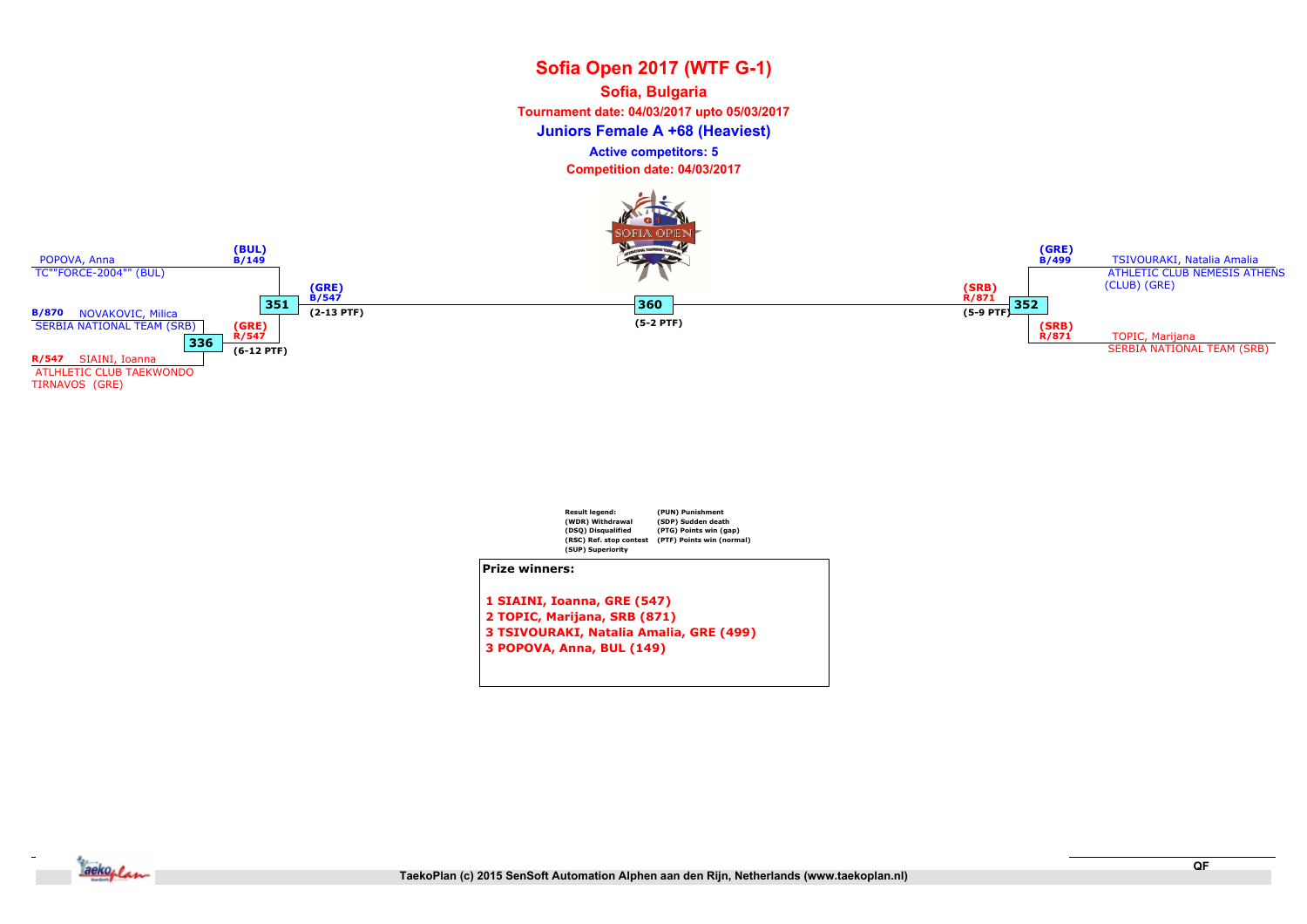## Sofia Open 2017 (WTF G-1) Juniors Female A +68 (Heaviest) Sofia, Bulgaria Tournament date: 04/03/2017 upto 05/03/2017 Competition date: 04/03/2017 Active competitors: 5





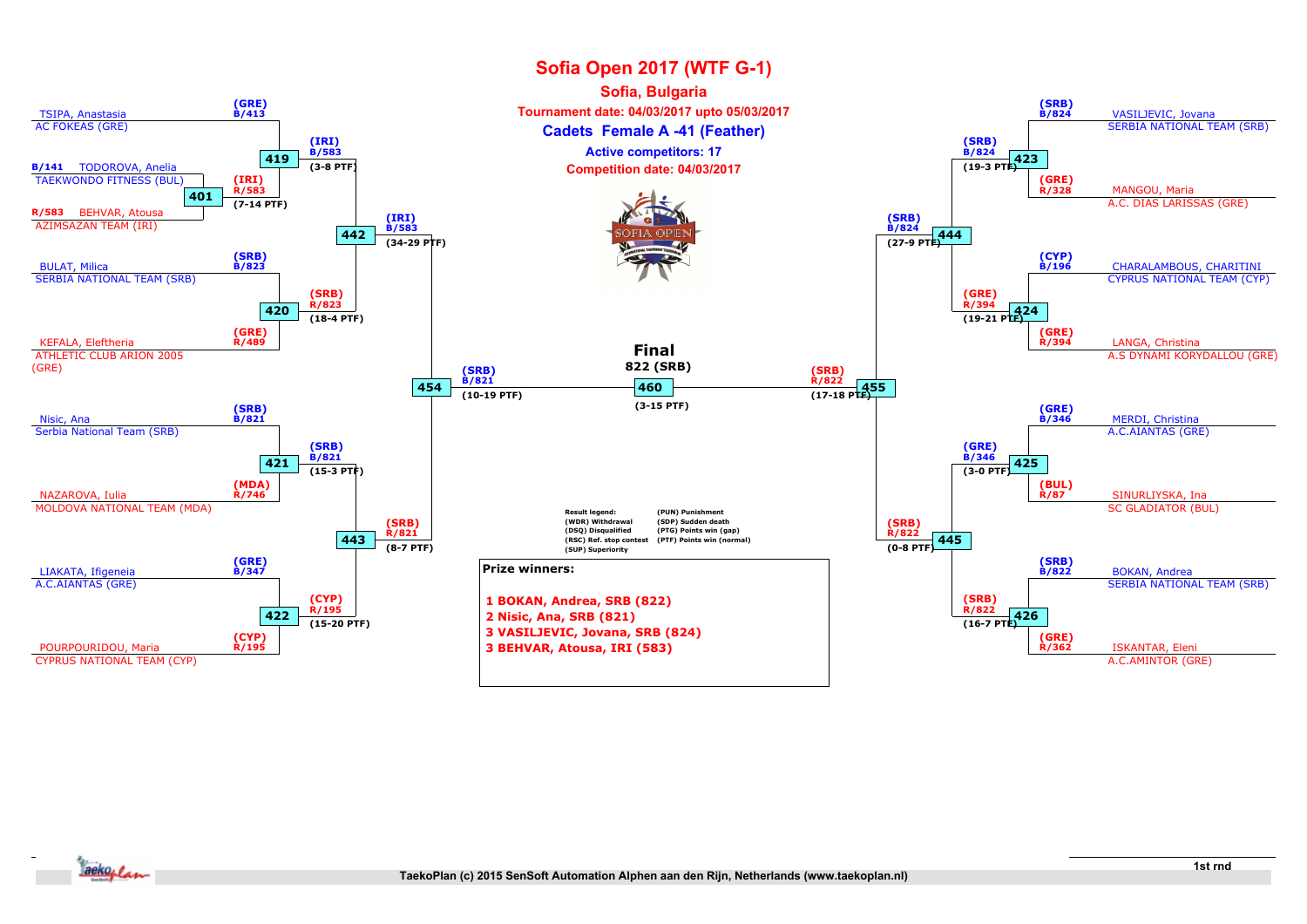

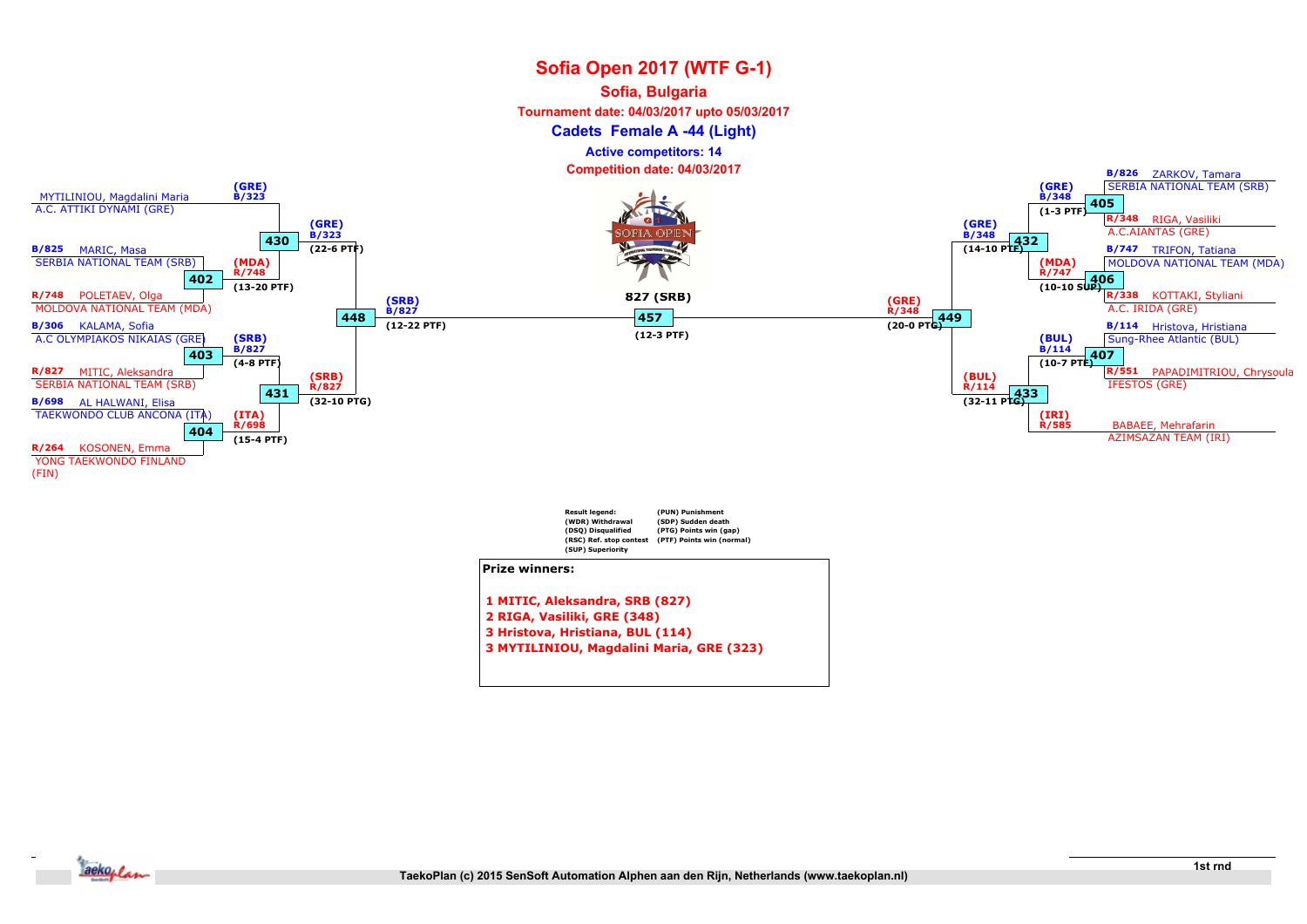#### Sofia, Bulgaria

Tournament date: 04/03/2017 upto 05/03/2017

Cadets Female A -44 (Light)

Active competitors: 14

Competition date: 04/03/2017



3 MYTILINIOU, Magdalini Maria, GRE (323)

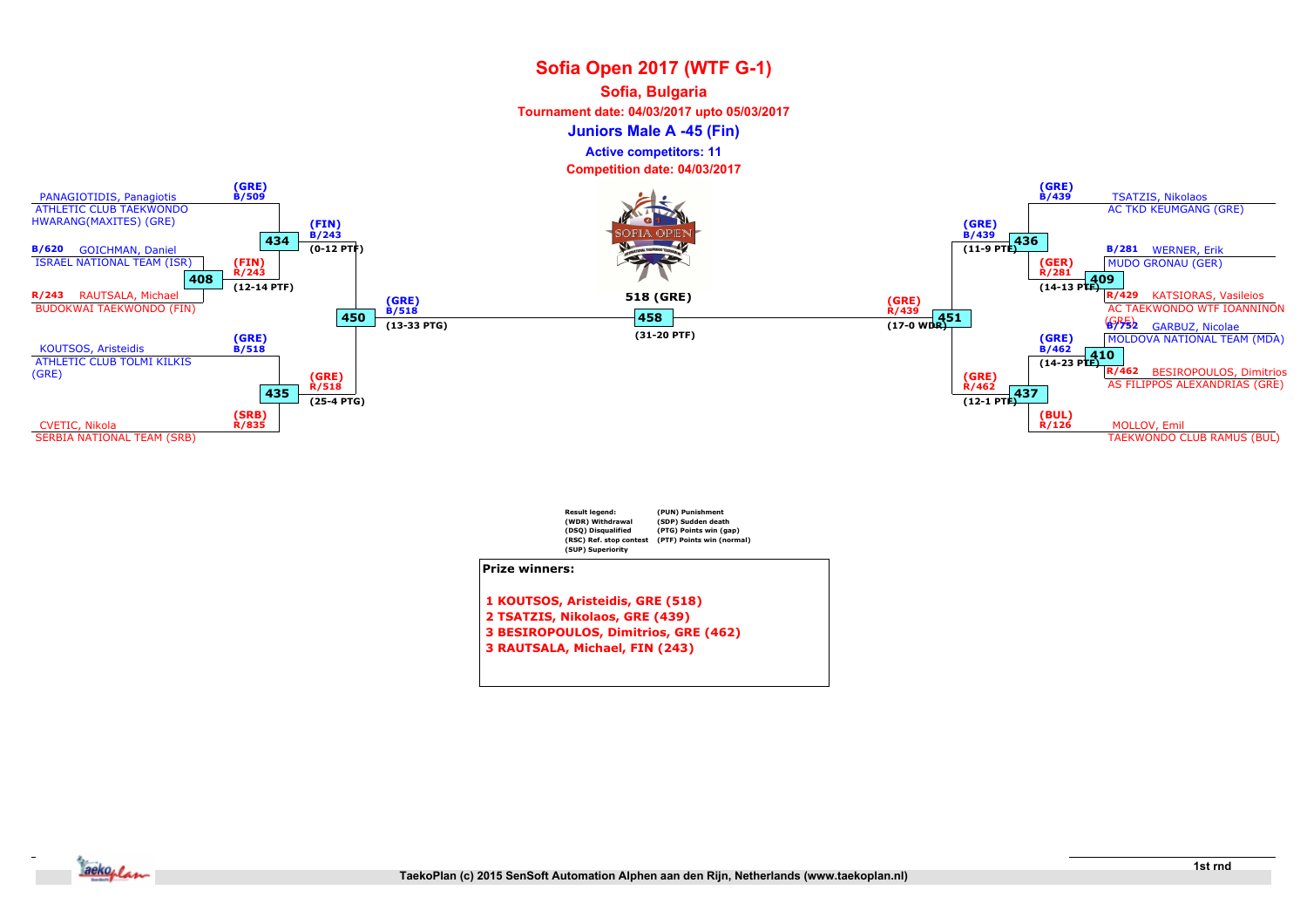#### Sofia, Bulgaria

Tournament date: 04/03/2017 upto 05/03/2017

Juniors Male A -45 (Fin)

Active competitors: 11





- 2 TSATZIS, Nikolaos, GRE (439)
- 3 BESIROPOULOS, Dimitrios, GRE (462)
- 3 RAUTSALA, Michael, FIN (243)

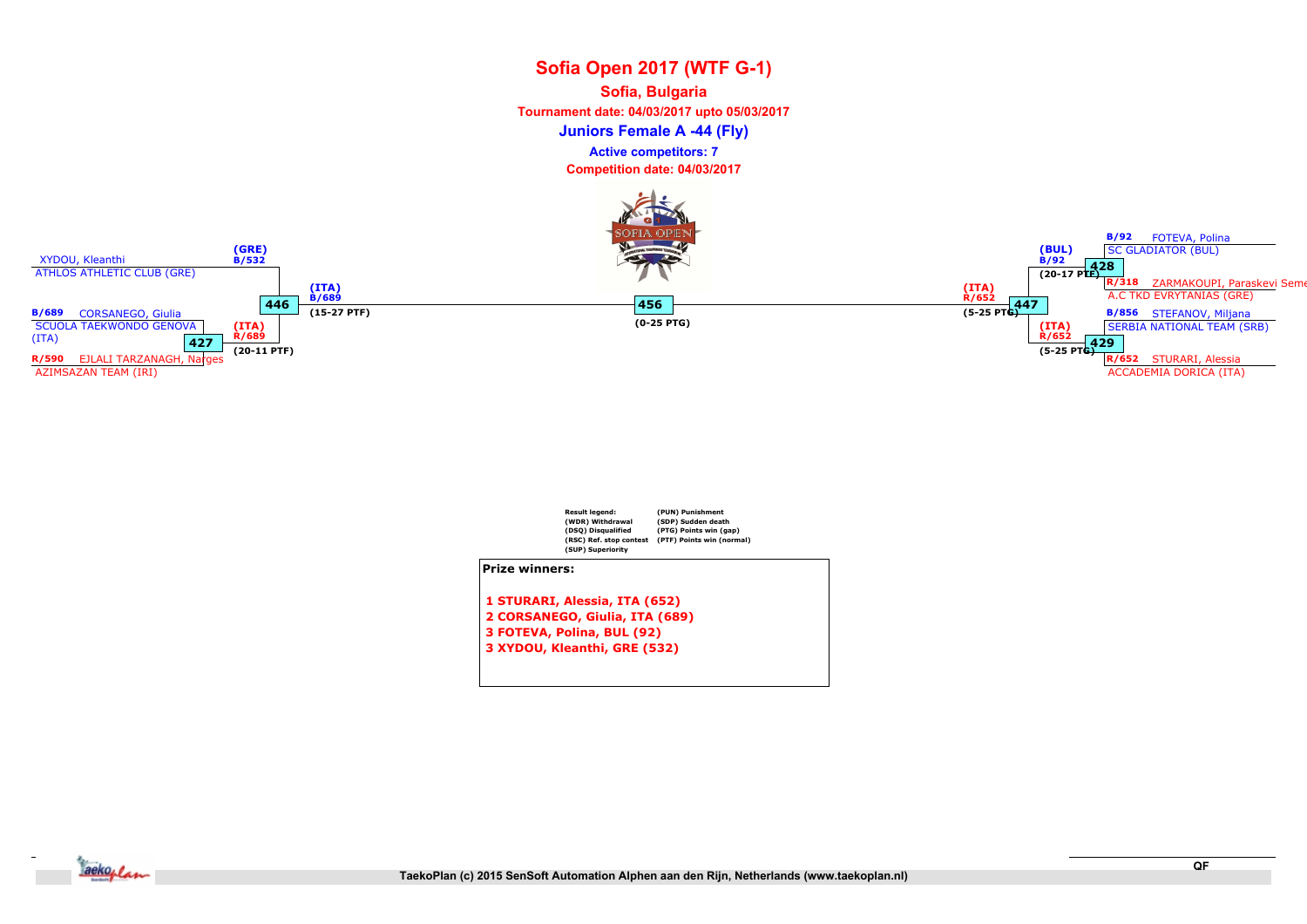Sofia, Bulgaria

Tournament date: 04/03/2017 upto 05/03/2017

Juniors Female A -44 (Fly)

Active competitors: 7





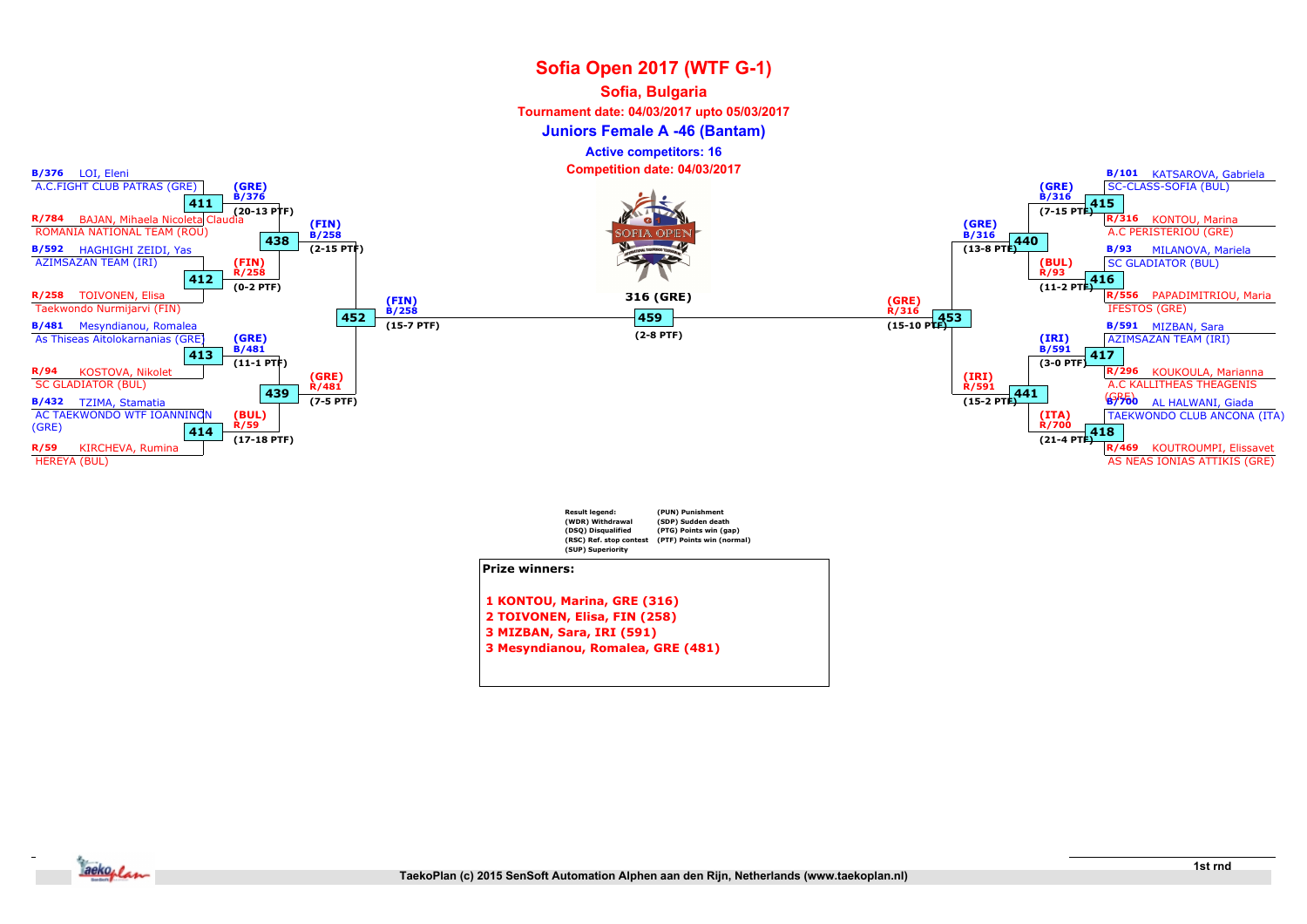#### Sofia, Bulgaria

Tournament date: 04/03/2017 upto 05/03/2017

Juniors Female A -46 (Bantam)

Active competitors: 16

Competition date: 04/03/2017



1 KONTOU, Marina, GRE (316)

- 2 TOIVONEN, Elisa, FIN (258)
- 3 MIZBAN, Sara, IRI (591)
- 3 Mesyndianou, Romalea, GRE (481)

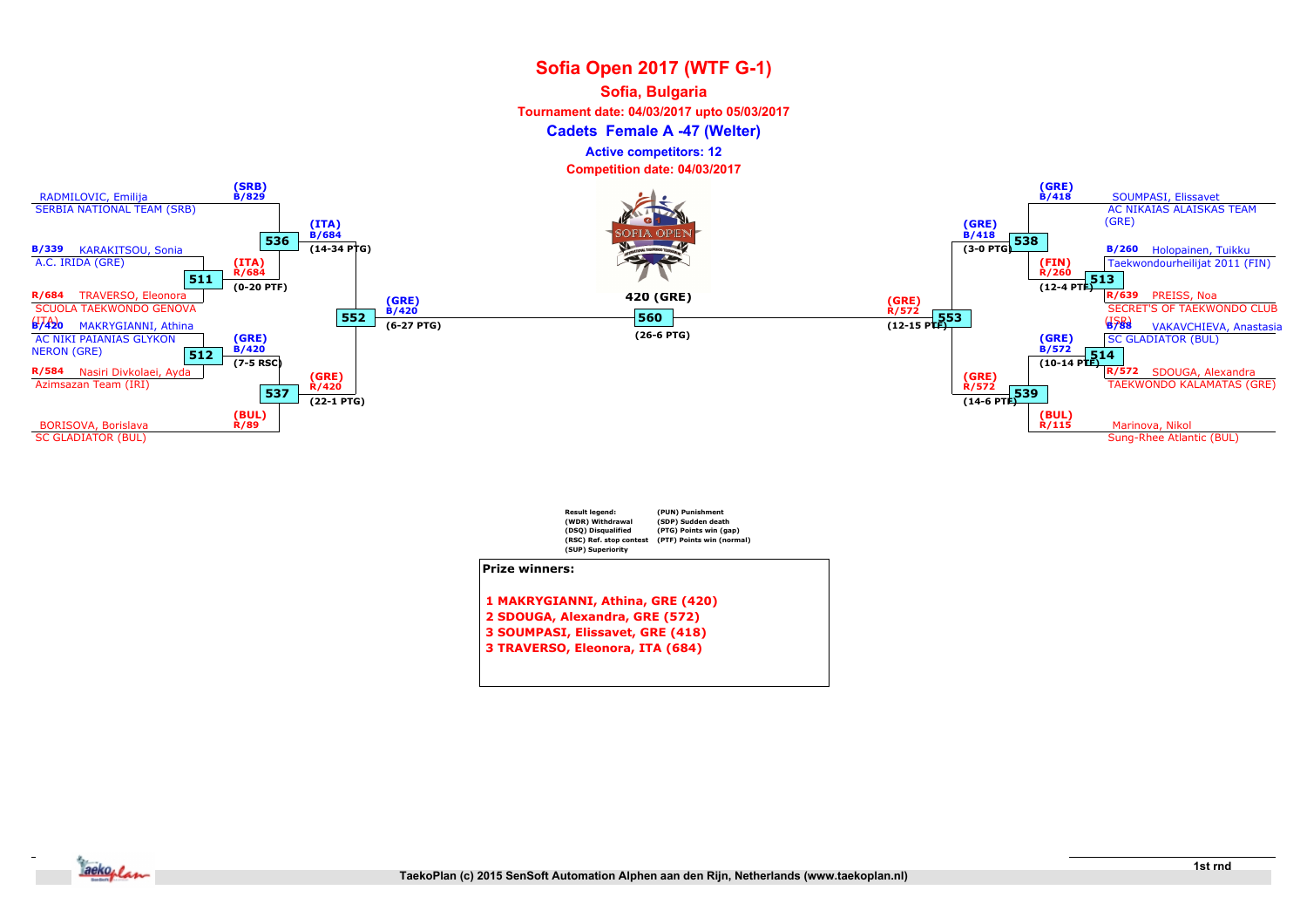#### Sofia, Bulgaria

Tournament date: 04/03/2017 upto 05/03/2017

Cadets Female A -47 (Welter)

Active competitors: 12

Competition date: 04/03/2017



| <b>Result legend:</b>            | (PUN) Punishment          |  |  |  |
|----------------------------------|---------------------------|--|--|--|
| (WDR) Withdrawal                 | (SDP) Sudden death        |  |  |  |
| (DSQ) Disqualified               | (PTG) Points win (gap)    |  |  |  |
| (RSC) Ref. stop contest          | (PTF) Points win (normal) |  |  |  |
| (SUP) Superiority                |                           |  |  |  |
| <b>Prize winners:</b>            |                           |  |  |  |
| 1 MAKRYGIANNI, Athina, GRE (420) |                           |  |  |  |
| 2 SDOUGA, Alexandra, GRE (572)   |                           |  |  |  |
| 3 SOUMPASI, Elissavet, GRE (418) |                           |  |  |  |

3 TRAVERSO, Eleonora, ITA (684)

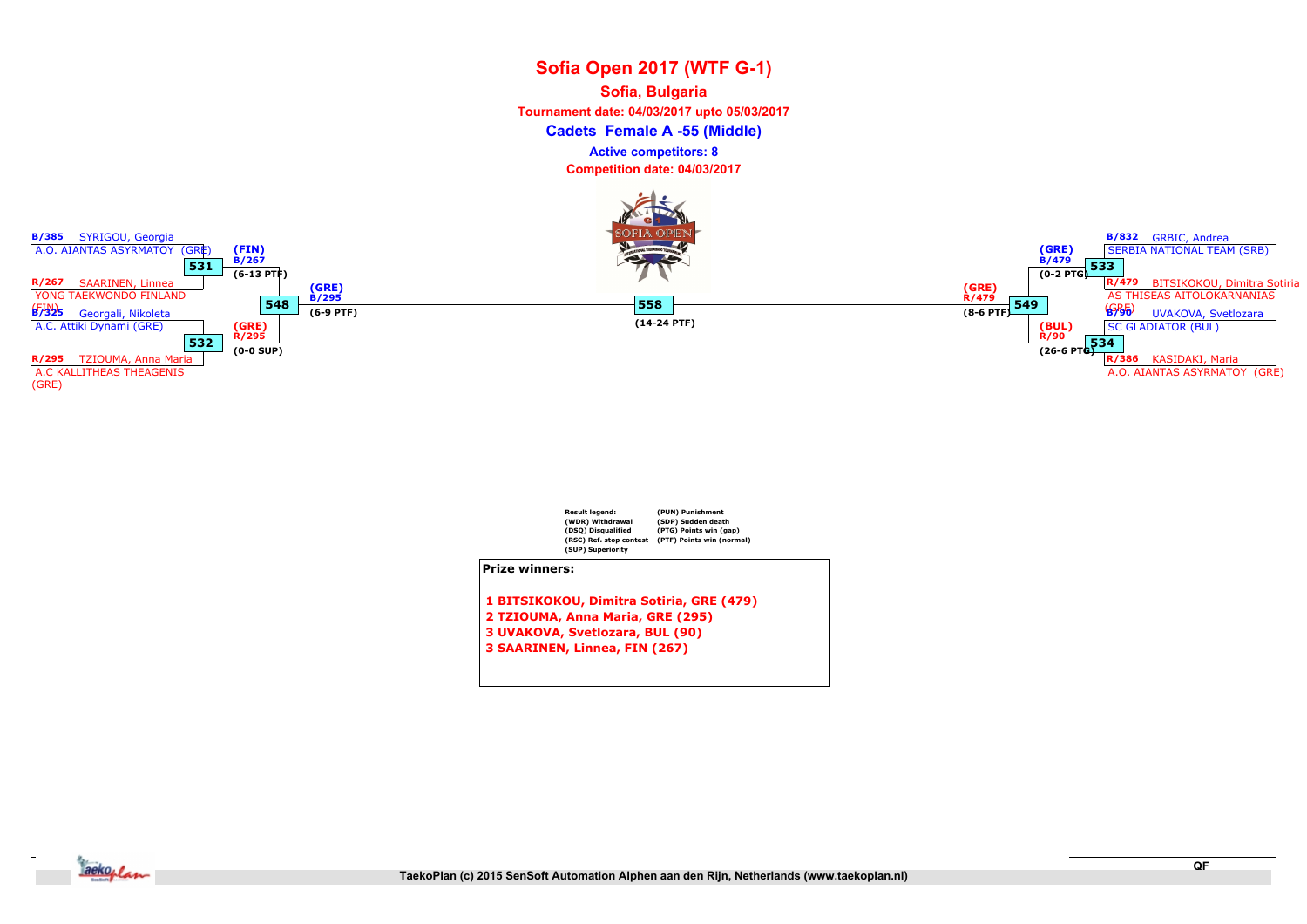## Sofia Open 2017 (WTF G-1) Cadets Female A -55 (Middle) Sofia, Bulgaria Tournament date: 04/03/2017 upto 05/03/2017 Competition date: 04/03/2017 Active competitors: 8





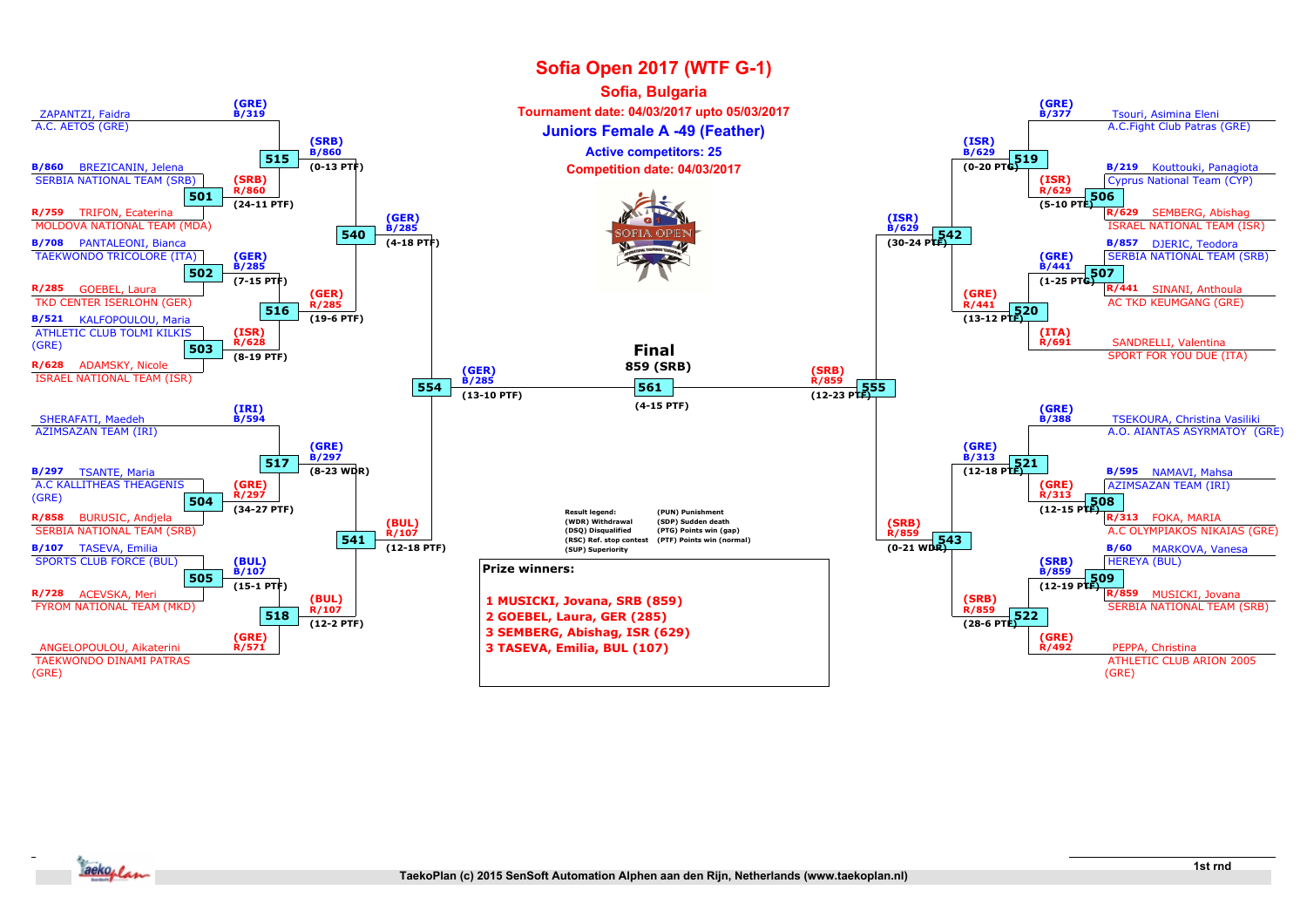

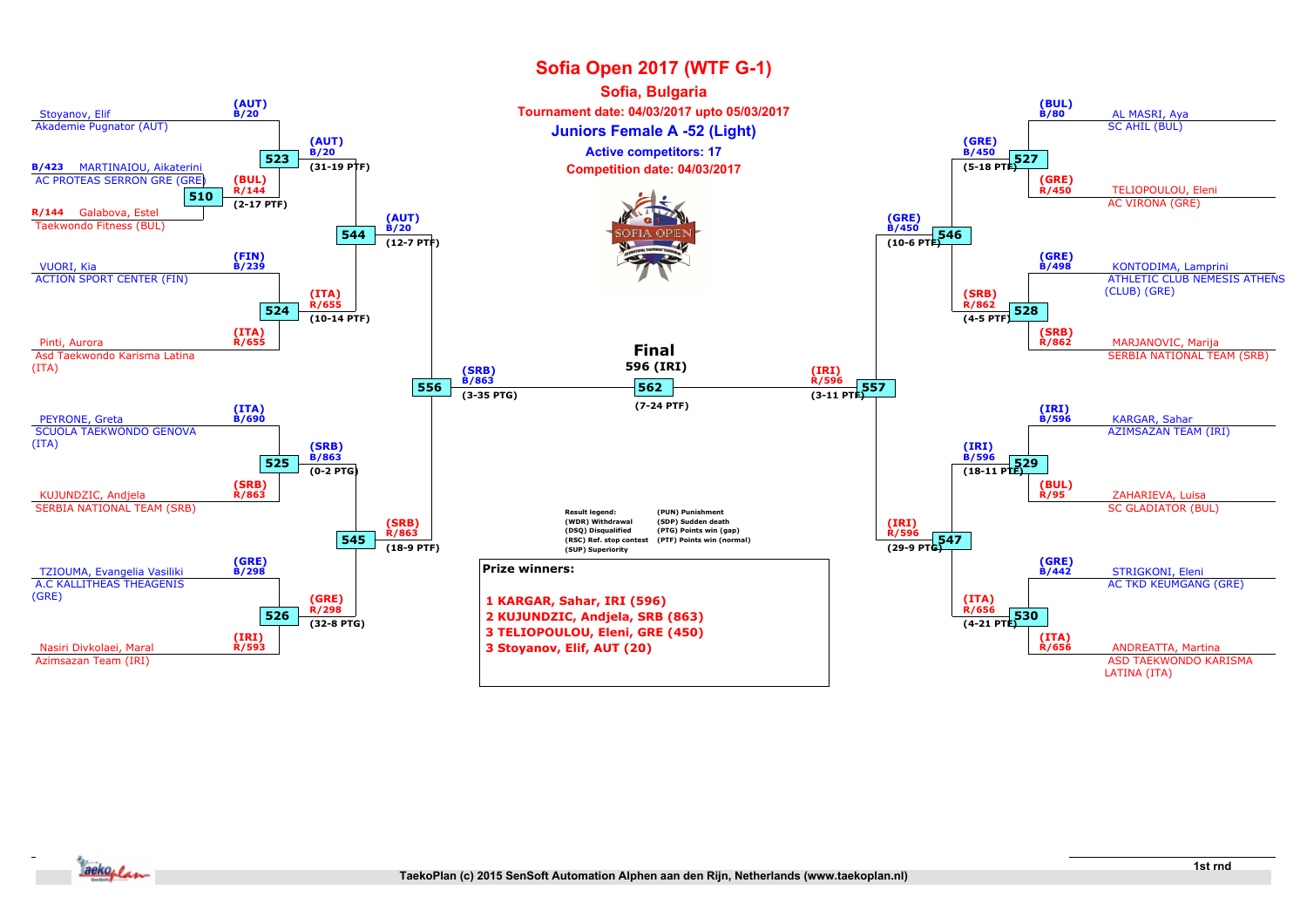

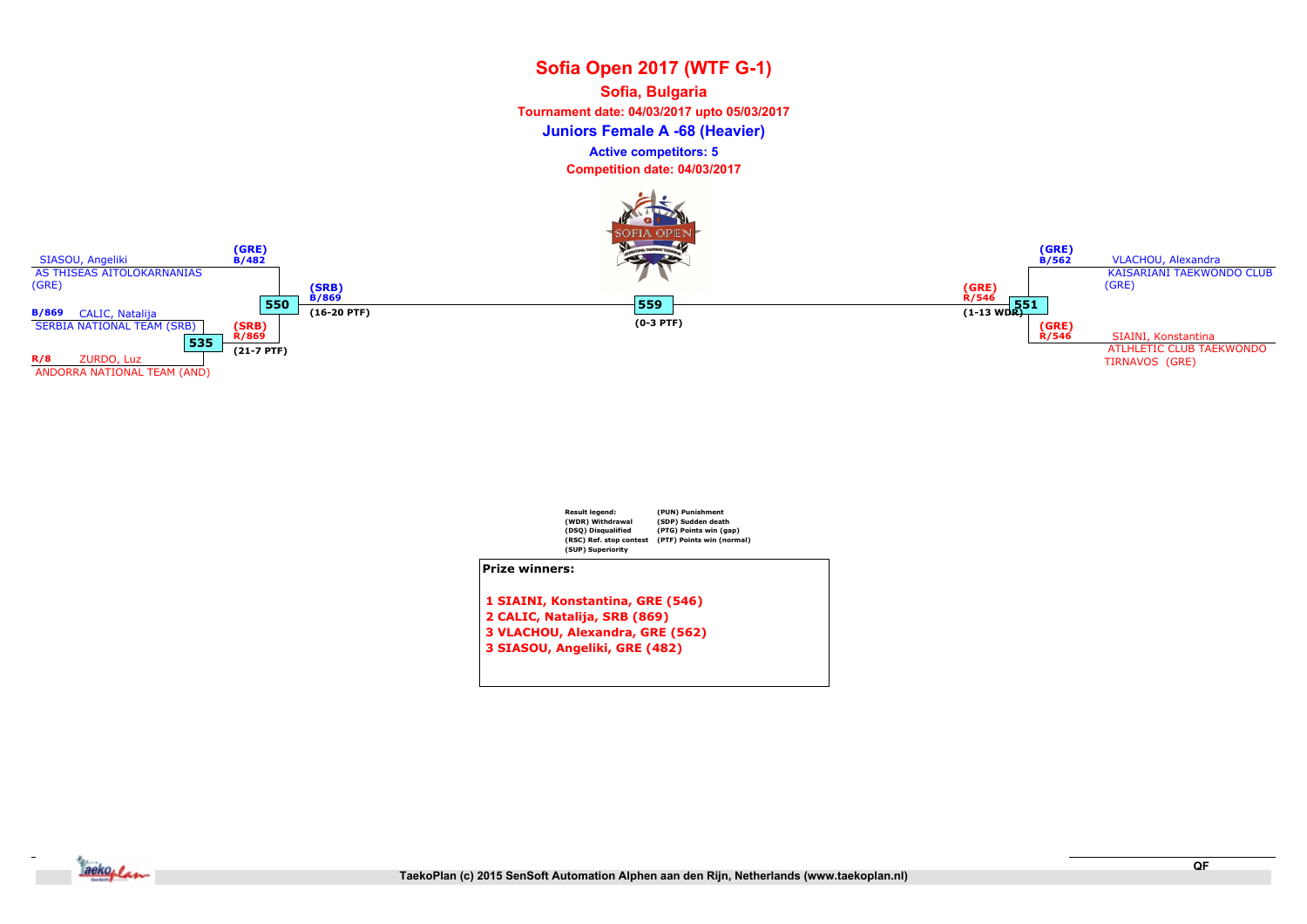## Sofia Open 2017 (WTF G-1) Juniors Female A -68 (Heavier) Sofia, Bulgaria Tournament date: 04/03/2017 upto 05/03/2017 Competition date: 04/03/2017 Active competitors: 5





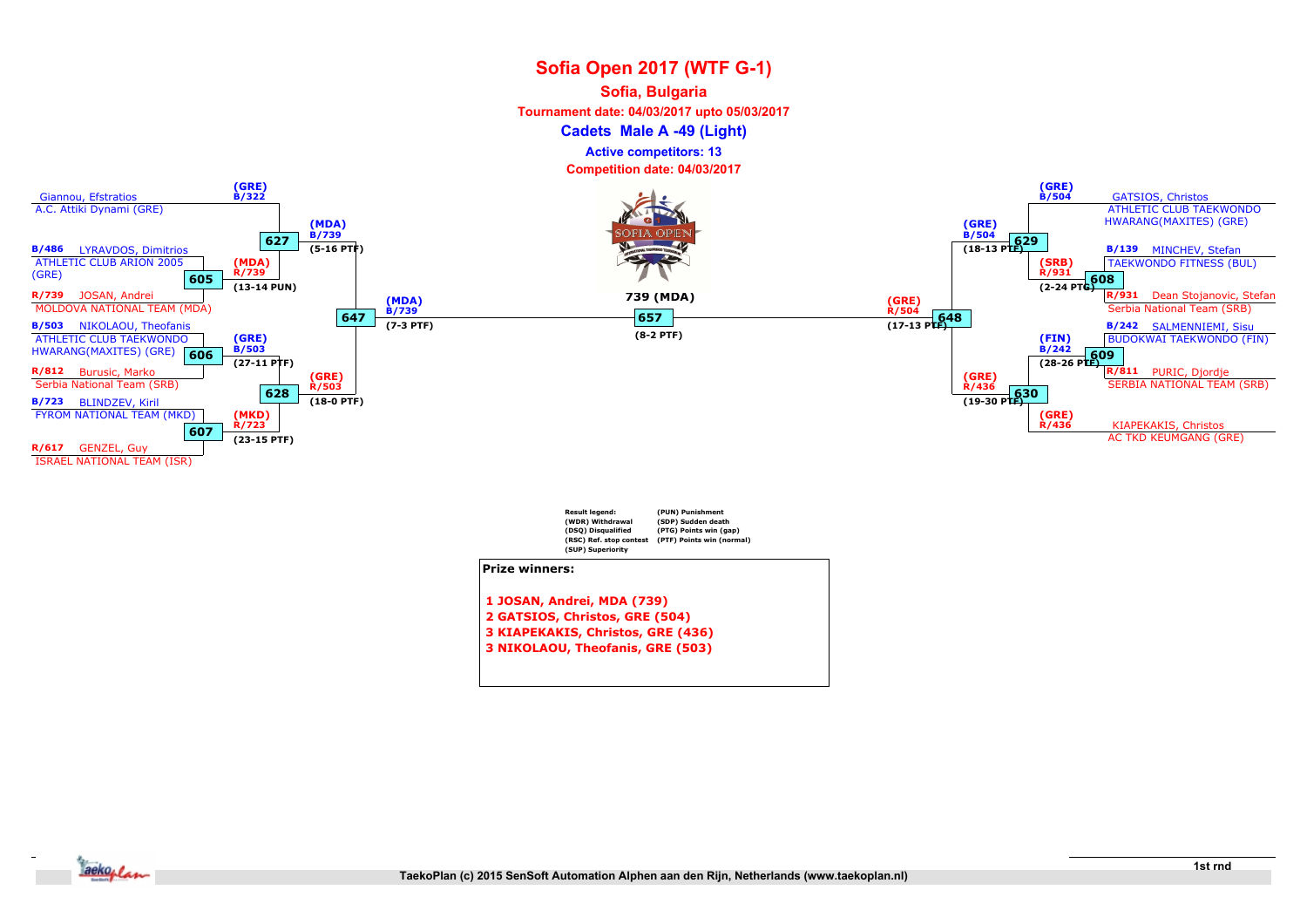#### Sofia, Bulgaria

Tournament date: 04/03/2017 upto 05/03/2017

Cadets Male A -49 (Light)

Active competitors: 13

Competition date: 04/03/2017



3 KIAPEKAKIS, Christos, GRE (436)

3 NIKOLAOU, Theofanis, GRE (503)

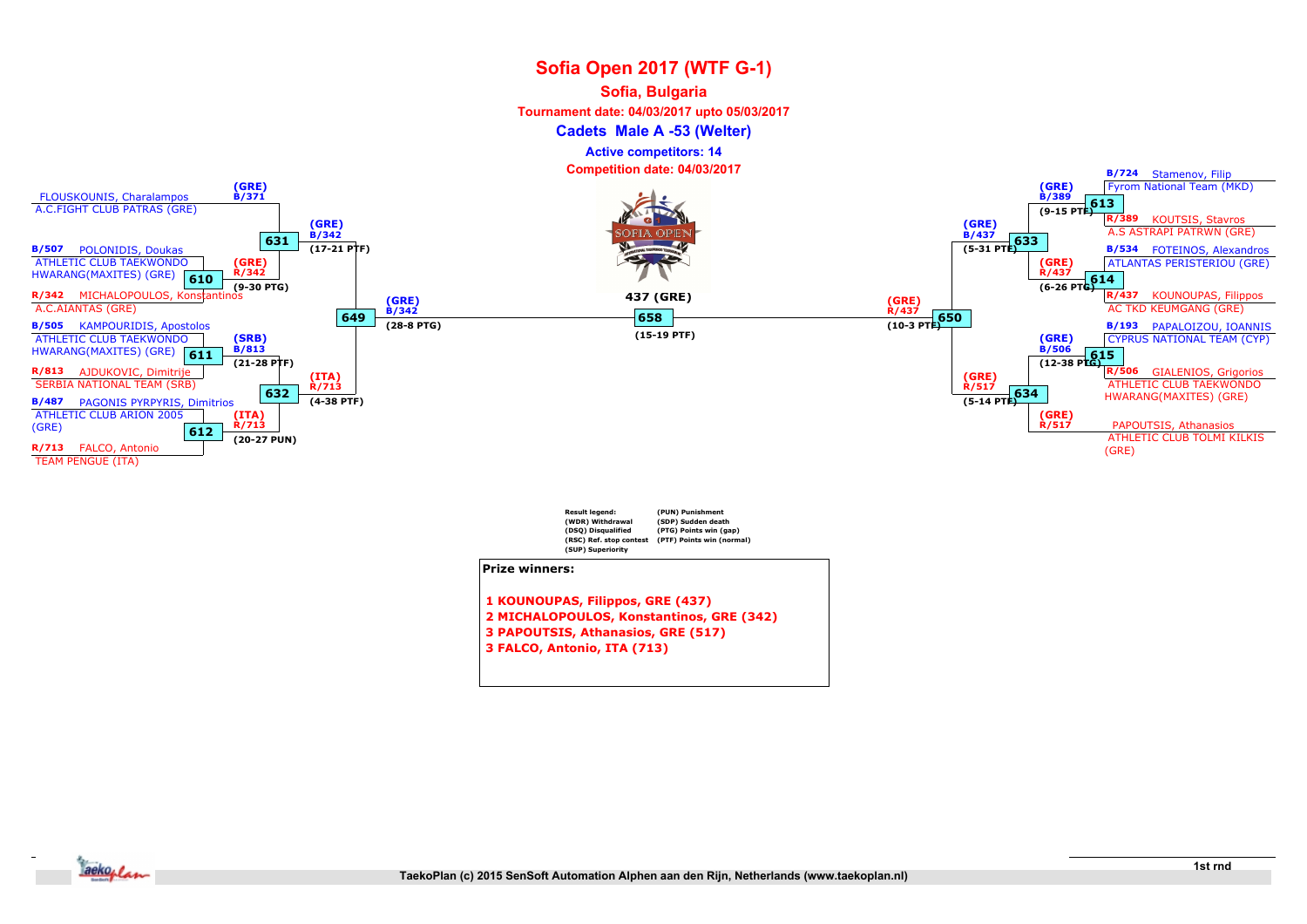#### Sofia, Bulgaria

Tournament date: 04/03/2017 upto 05/03/2017

Cadets Male A -53 (Welter)

Active competitors: 14



- 2 MICHALOPOULOS, Konstantinos, GRE (342)
- 3 PAPOUTSIS, Athanasios, GRE (517)
- 3 FALCO, Antonio, ITA (713)

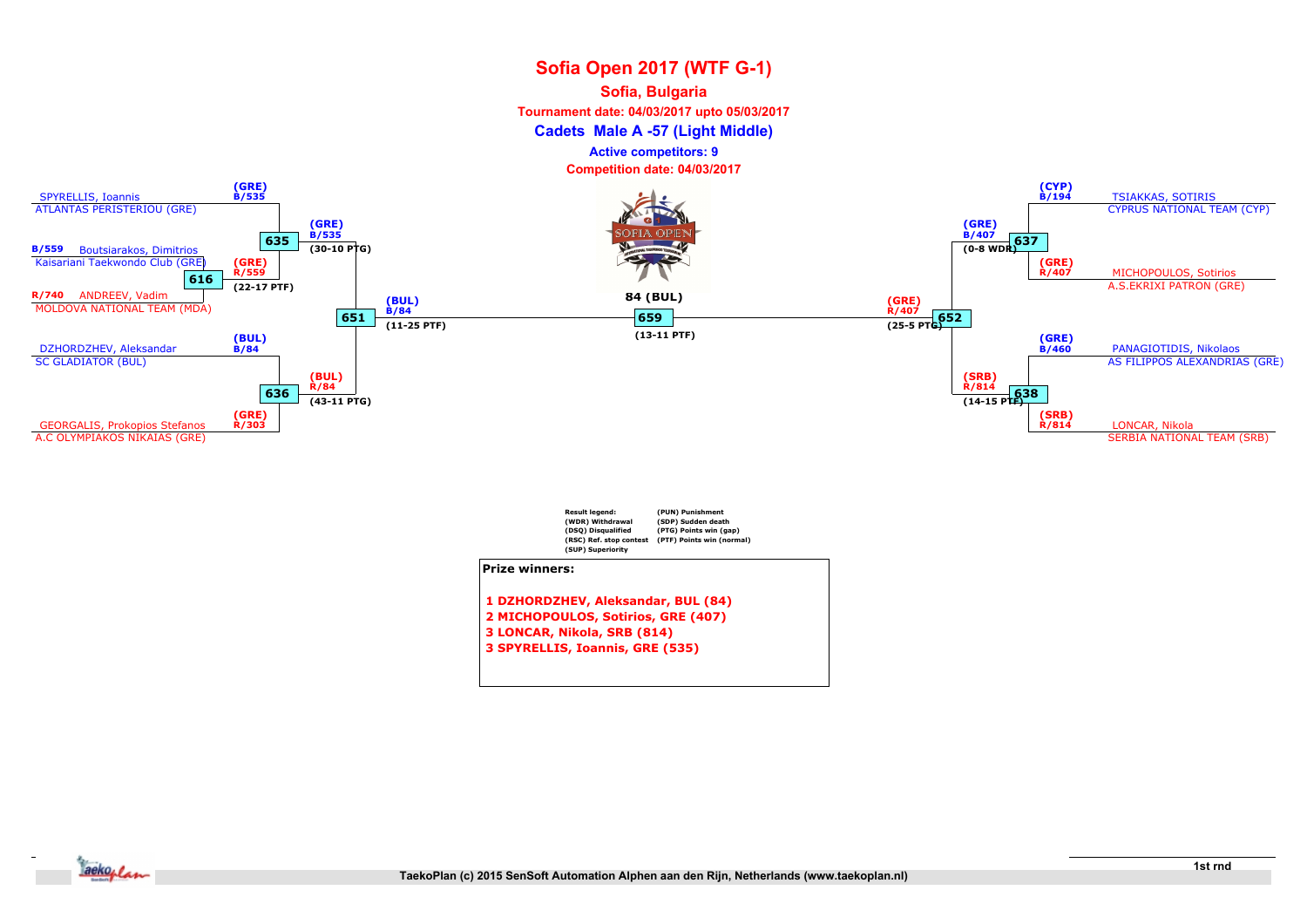#### Sofia, Bulgaria

Tournament date: 04/03/2017 upto 05/03/2017

Cadets Male A -57 (Light Middle)

Active competitors: 9





- 3 LONCAR, Nikola, SRB (814)
- 3 SPYRELLIS, Ioannis, GRE (535)

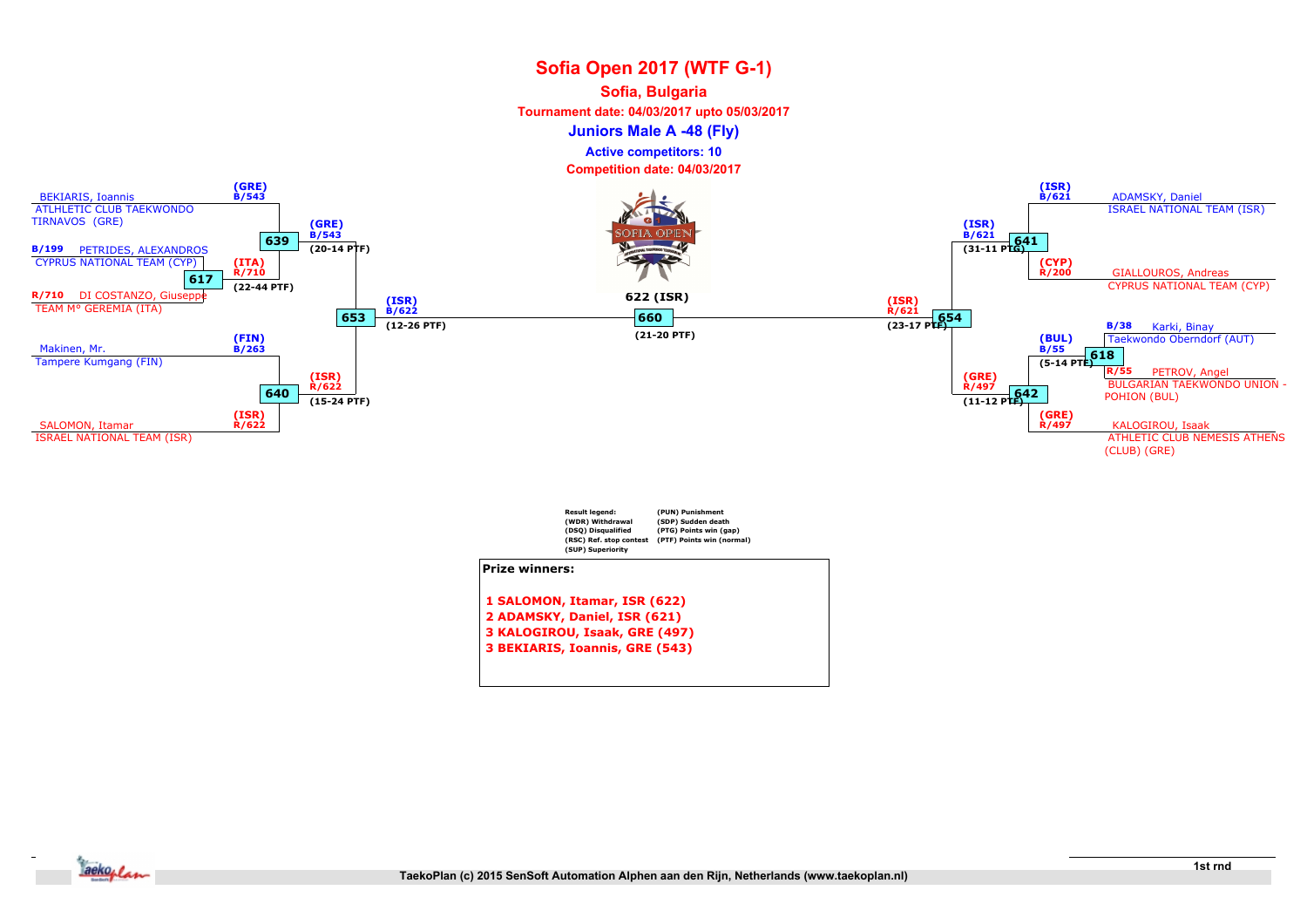#### Sofia, Bulgaria

Tournament date: 04/03/2017 upto 05/03/2017

Juniors Male A -48 (Fly)

Active competitors: 10





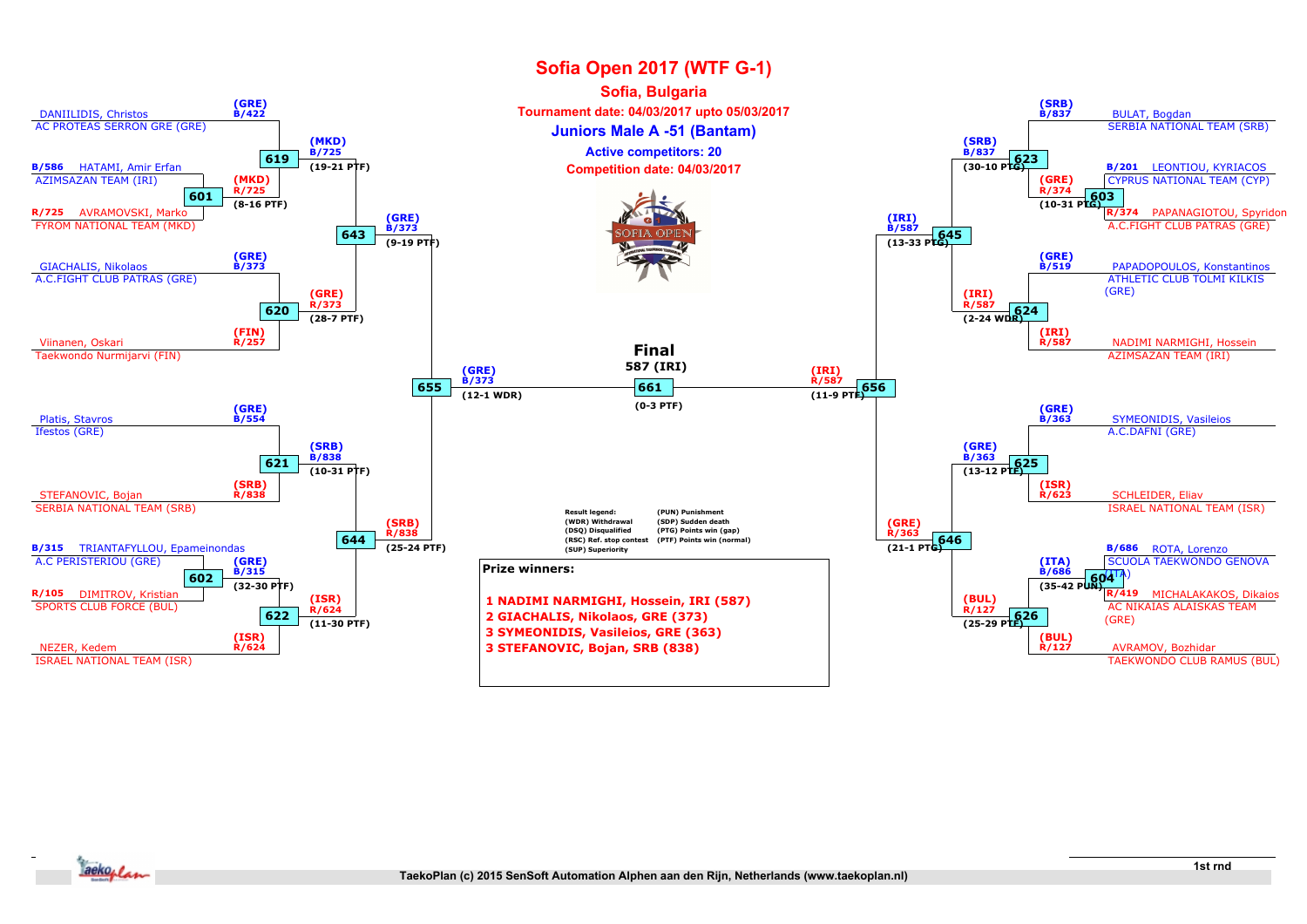

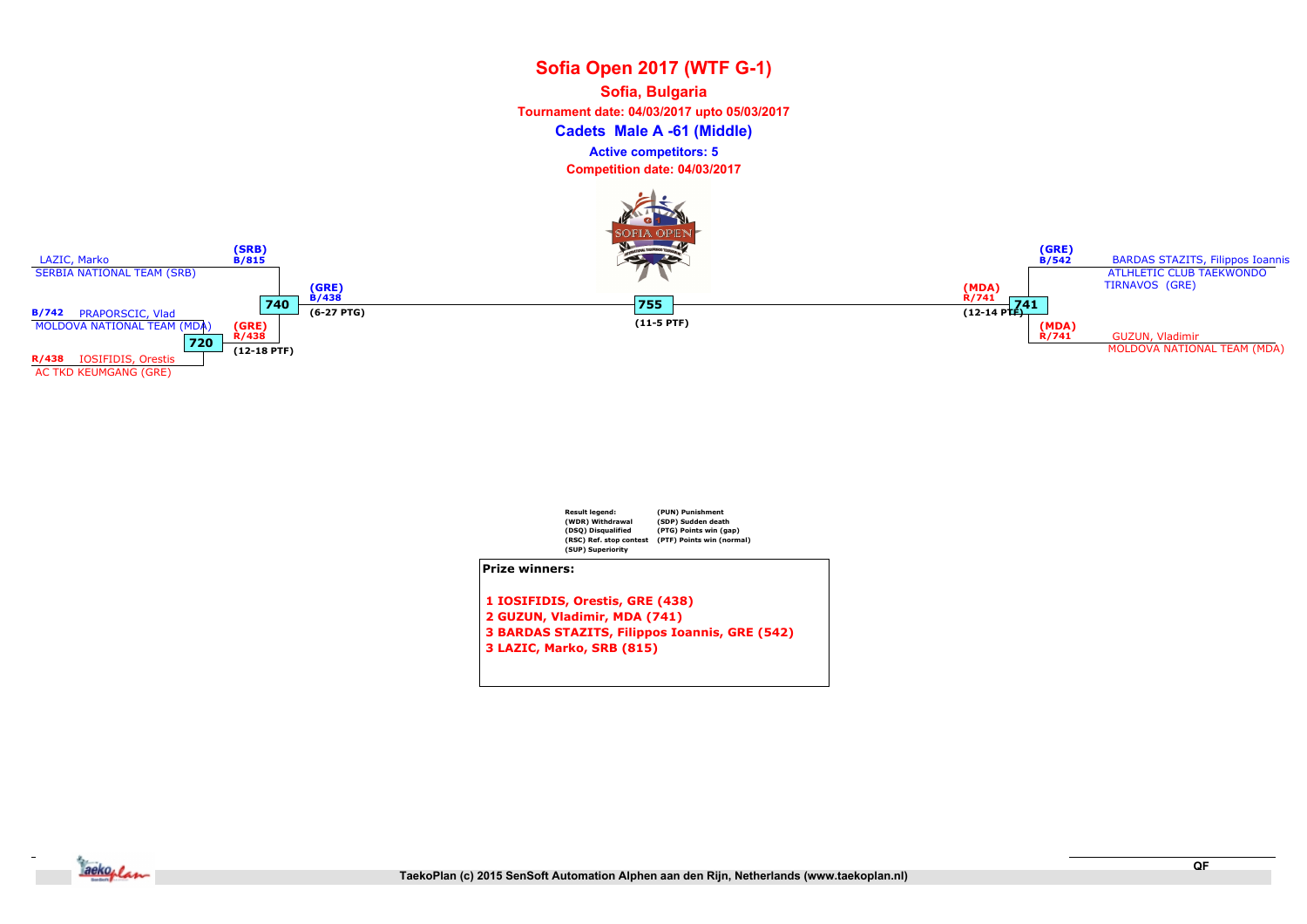## Sofia Open 2017 (WTF G-1) Cadets Male A -61 (Middle) Sofia, Bulgaria Tournament date: 04/03/2017 upto 05/03/2017 Competition date: 04/03/2017 Active competitors: 5





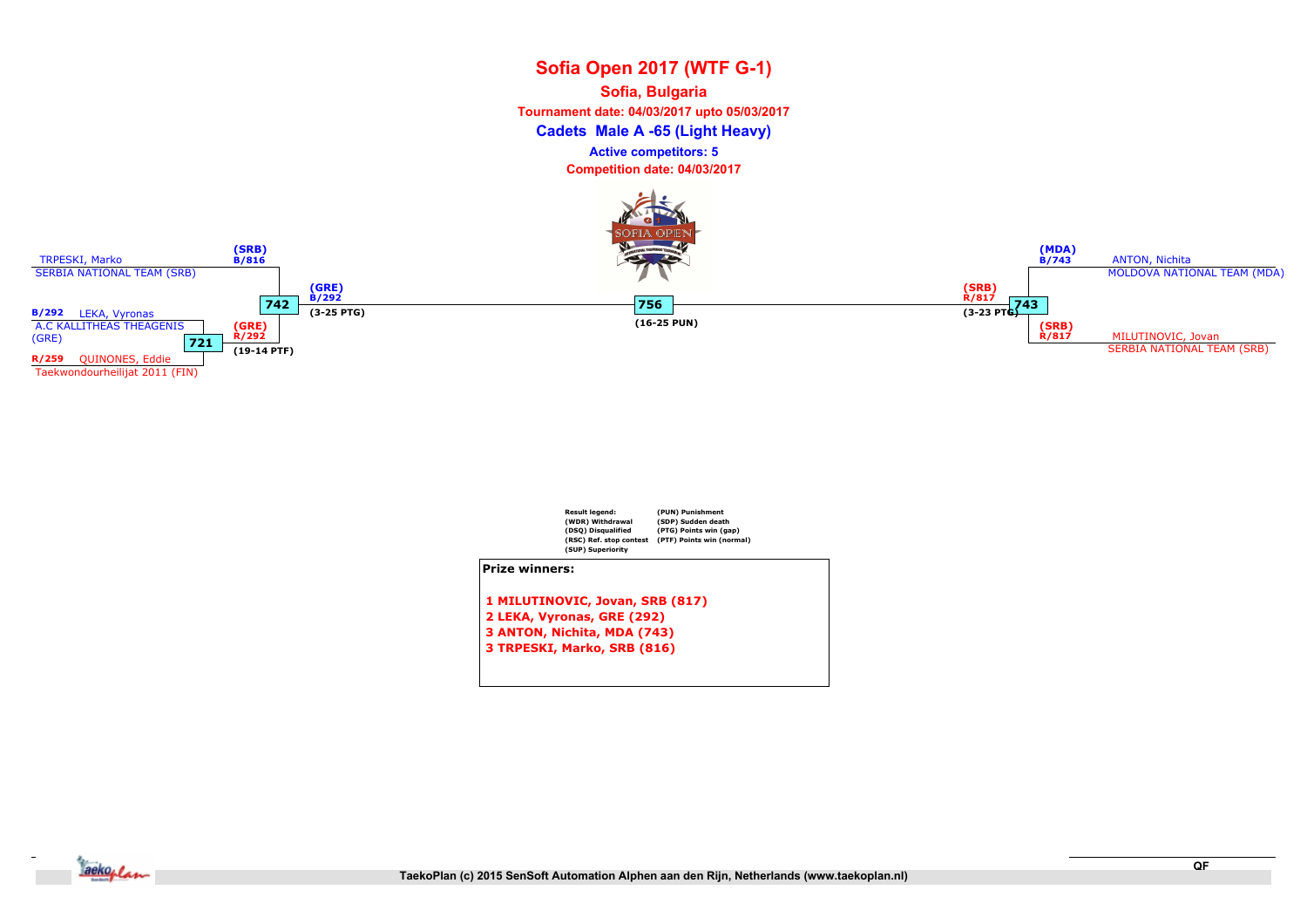## Sofia Open 2017 (WTF G-1) Cadets Male A -65 (Light Heavy) Sofia, Bulgaria Tournament date: 04/03/2017 upto 05/03/2017 Competition date: 04/03/2017 Active competitors: 5





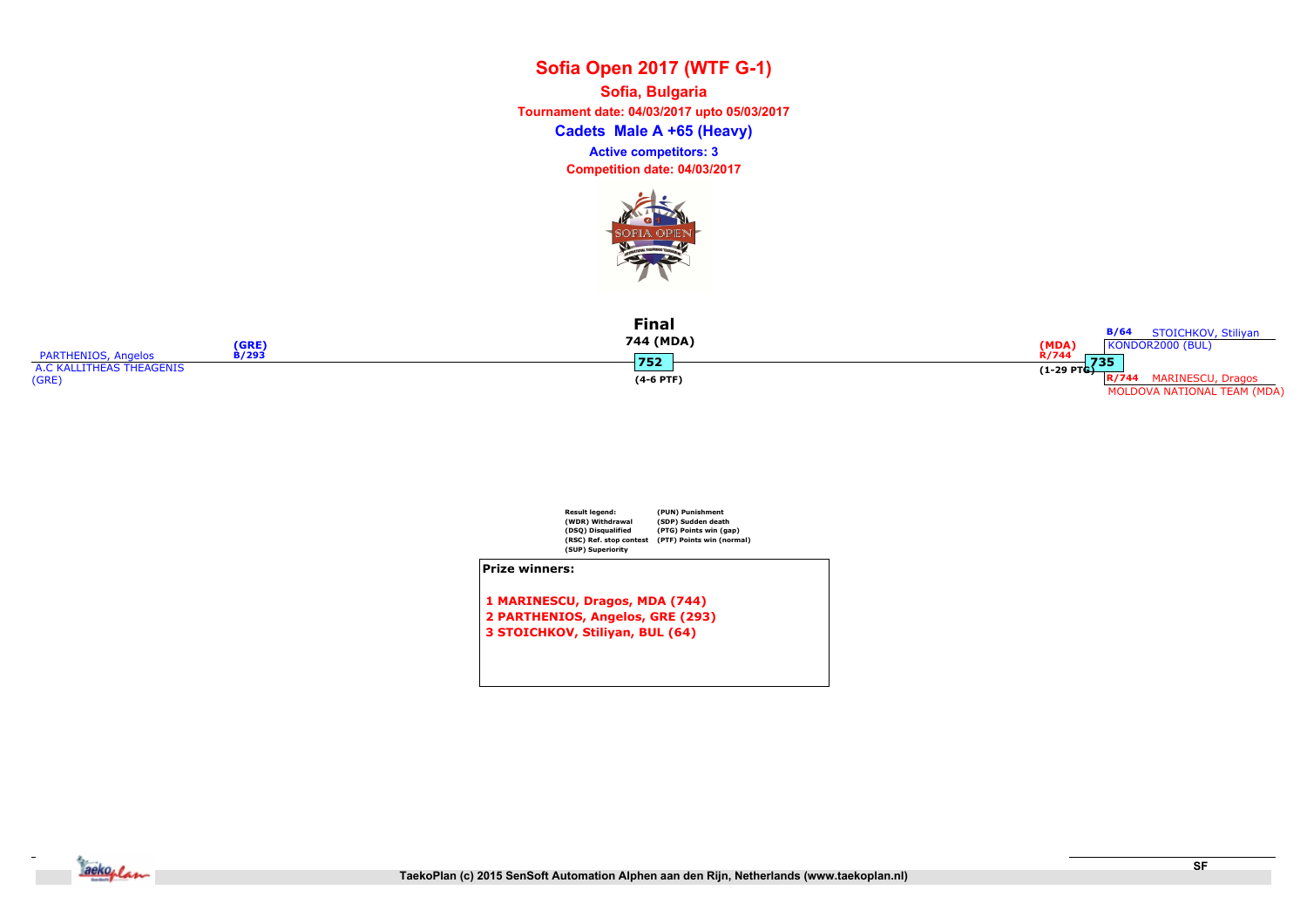Cadets Male A +65 (Heavy) Sofia, Bulgaria Tournament date: 04/03/2017 upto 05/03/2017 Competition date: 04/03/2017 Active competitors: 3



| (GRE)                        | Final<br>744 (MDA) | <b>B/64</b><br>STOICHKOV, Stiliyan<br>(MDA)<br>KONDOR2000 (BUL) |
|------------------------------|--------------------|-----------------------------------------------------------------|
| PARTHENIOS, Angelos<br>B/293 | 752                | R/744<br>735                                                    |
| A.C KALLITHEAS THEAGENIS     |                    | $(1-29 \text{ PTG})$                                            |
| (GRE)                        | $(4-6$ PTF)        | R/744<br>MARINESCU, Dragos                                      |
|                              |                    | MOLDOVA NATIONAL TEAM (MDA)                                     |



Prize winners:

1 MARINESCU, Dragos, MDA (744) 2 PARTHENIOS, Angelos, GRE (293) 3 STOICHKOV, Stiliyan, BUL (64)

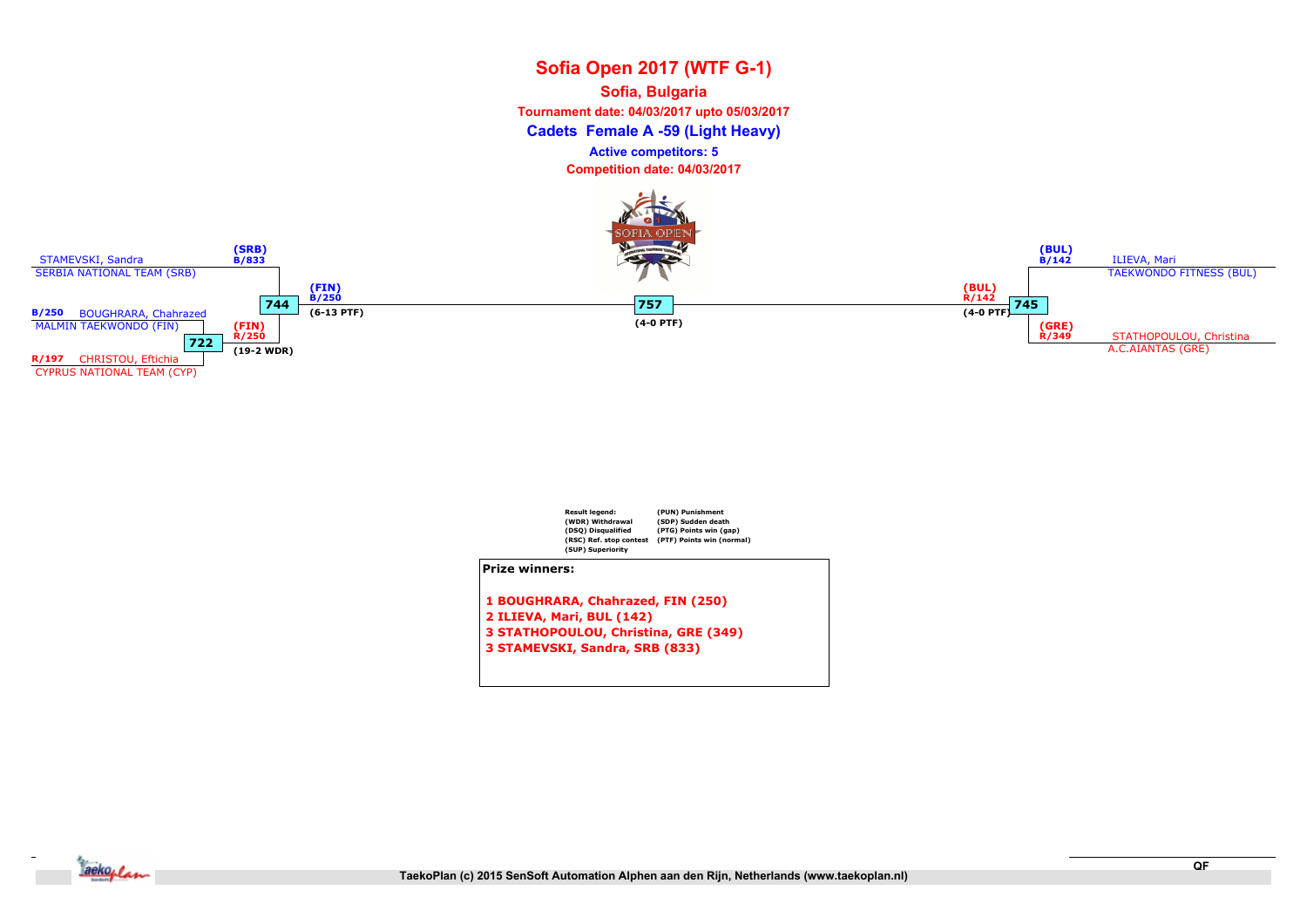## Sofia Open 2017 (WTF G-1) Cadets Female A -59 (Light Heavy) Sofia, Bulgaria Tournament date: 04/03/2017 upto 05/03/2017 Competition date: 04/03/2017 Active competitors: 5



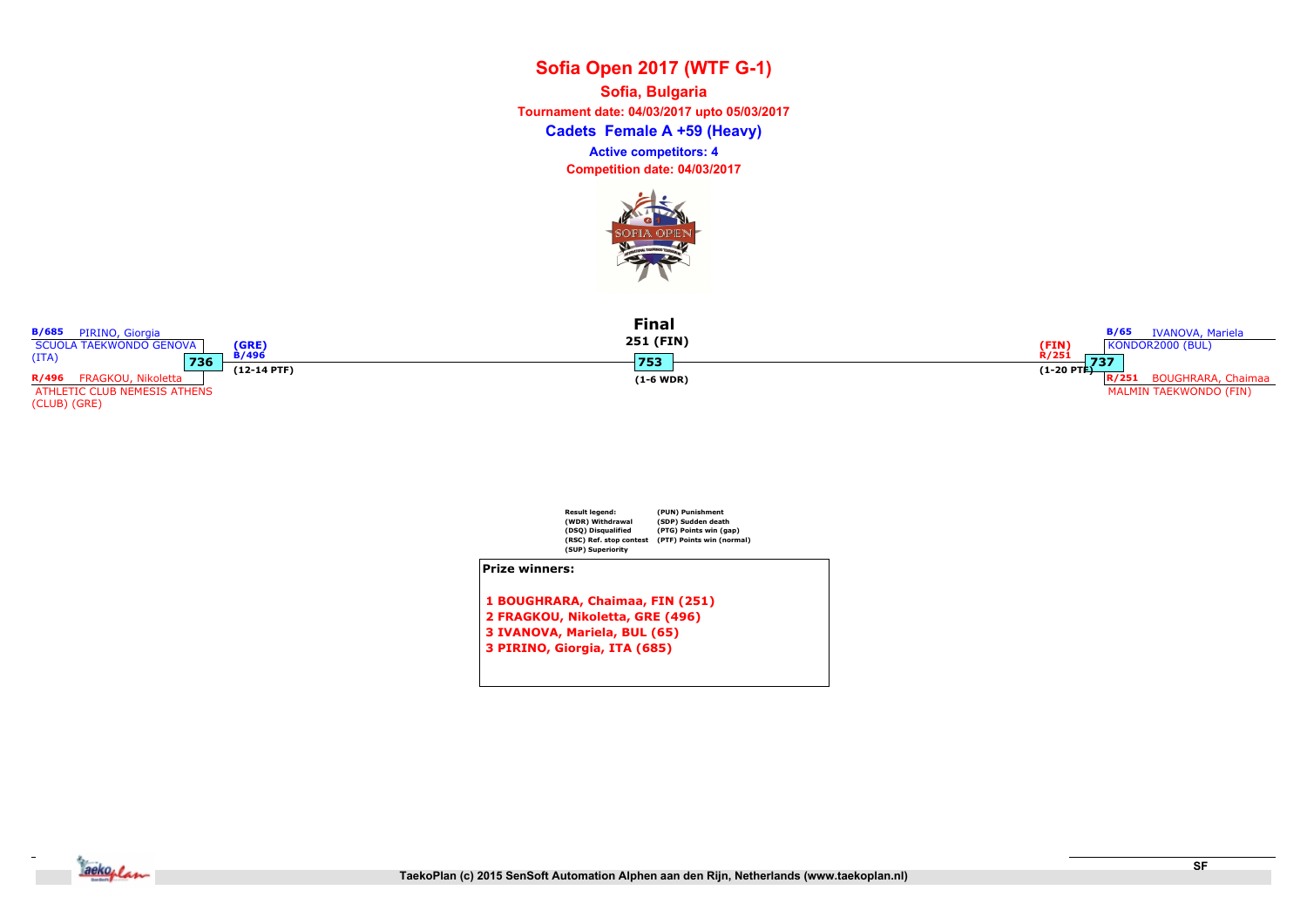Cadets Female A +59 (Heavy) Sofia, Bulgaria Tournament date: 04/03/2017 upto 05/03/2017 Competition date: 04/03/2017 Active competitors: 4



| <b>B/685</b> PIRINO, Giorgia<br>SCUOLA TAEKWONDO GENOVA | (GRE               | <b>Final</b><br>251 (FIN) | <b>B/65</b> IVANOVA, Mariela<br>(FIN)<br>R/251<br>KONDOR2000 (BUL) |
|---------------------------------------------------------|--------------------|---------------------------|--------------------------------------------------------------------|
| (ITA)<br>736                                            | $\overline{B}/496$ | 1753                      | 737                                                                |
|                                                         | $(12-14$ PTF)      |                           | $(1-20$ PTE)                                                       |
| R/496 FRAGKOU, Nikoletta                                |                    | $(1-6 \text{ WDR})$       | <b>BOUGHRARA, Chaimaa</b><br>R/251                                 |
| ATHLETIC CLUB NEMESIS ATHENS                            |                    |                           | <b>MALMIN TAEKWONDO (FIN)</b>                                      |
| (CI IIR) (CDF)                                          |                    |                           |                                                                    |



2 FRAGKOU, Nikoletta, GRE (496)

- 3 IVANOVA, Mariela, BUL (65)
- 3 PIRINO, Giorgia, ITA (685)



(CLUB) (GRE)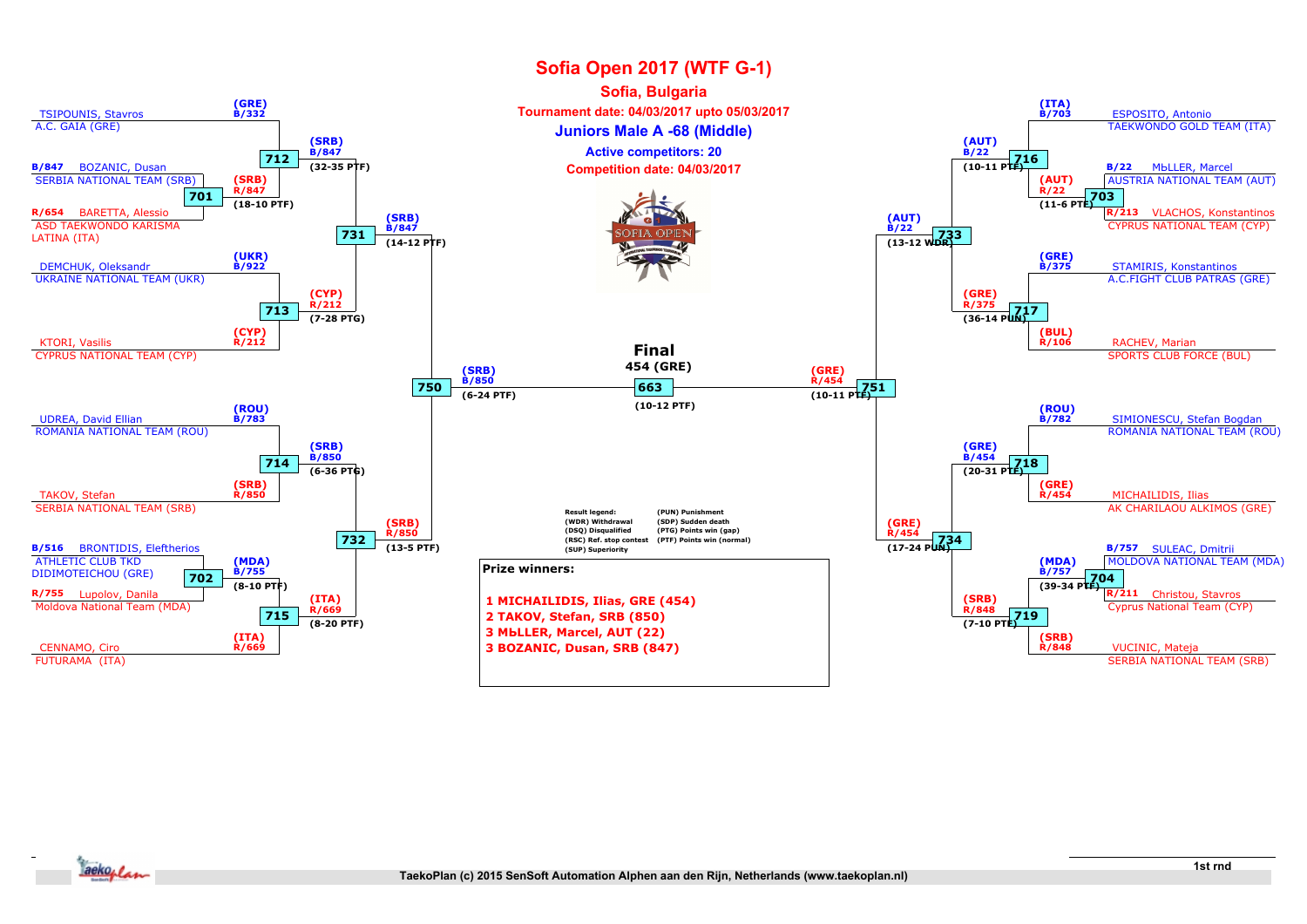

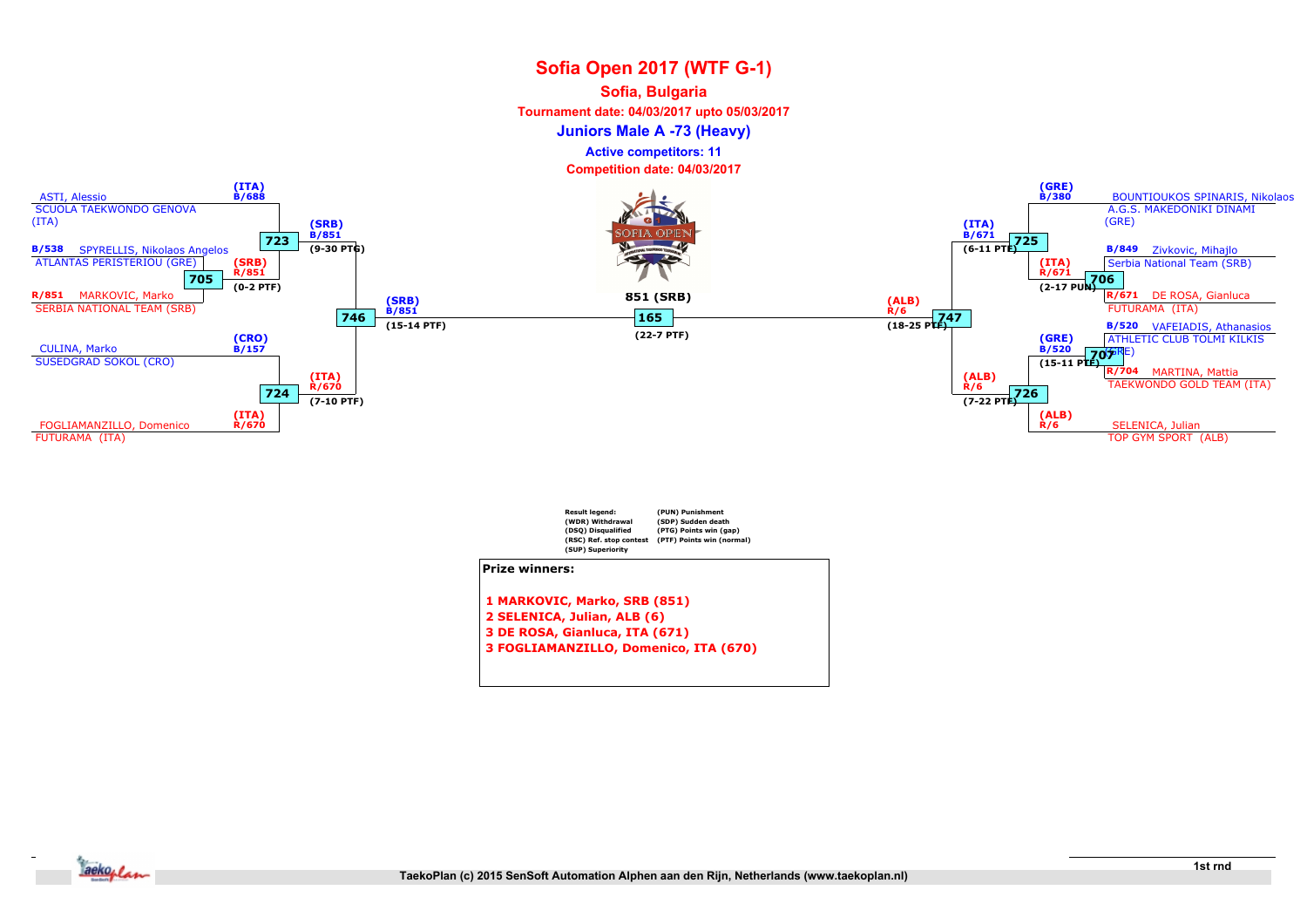#### Sofia, Bulgaria

Tournament date: 04/03/2017 upto 05/03/2017

Juniors Male A -73 (Heavy)

Active competitors: 11





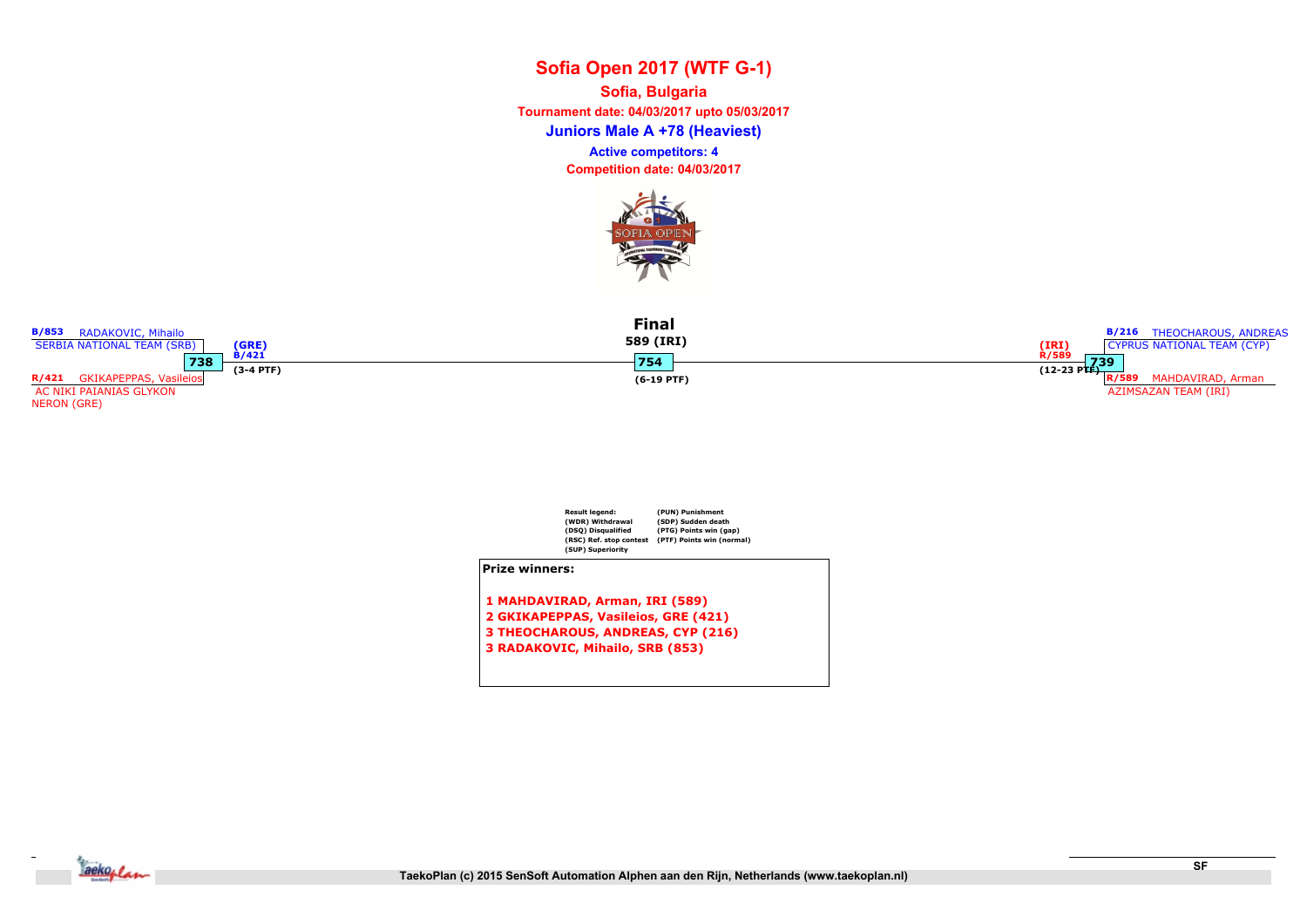Juniors Male A +78 (Heaviest) Sofia, Bulgaria Tournament date: 04/03/2017 upto 05/03/2017 Competition date: 04/03/2017 Active competitors: 4







- 1 MAHDAVIRAD, Arman, IRI (589)
- 2 GKIKAPEPPAS, Vasileios, GRE (421)
- 3 THEOCHAROUS, ANDREAS, CYP (216)
- 3 RADAKOVIC, Mihailo, SRB (853)



B/853 RADAKOVIC, Mihailo

AC NIKI PAIANIAS GLYKON

NERON (GRE)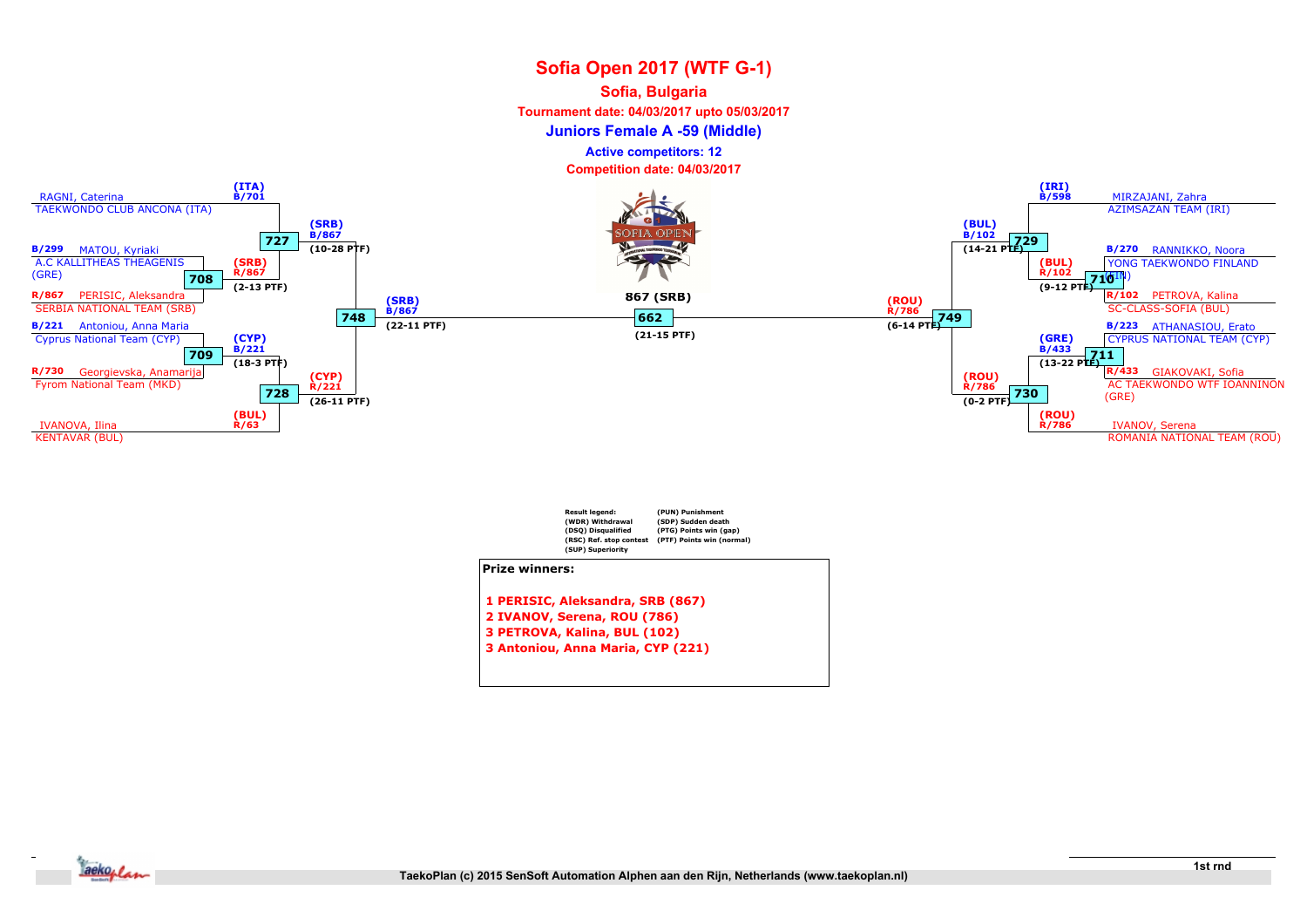#### Sofia, Bulgaria

Tournament date: 04/03/2017 upto 05/03/2017

Juniors Female A -59 (Middle)

Active competitors: 12





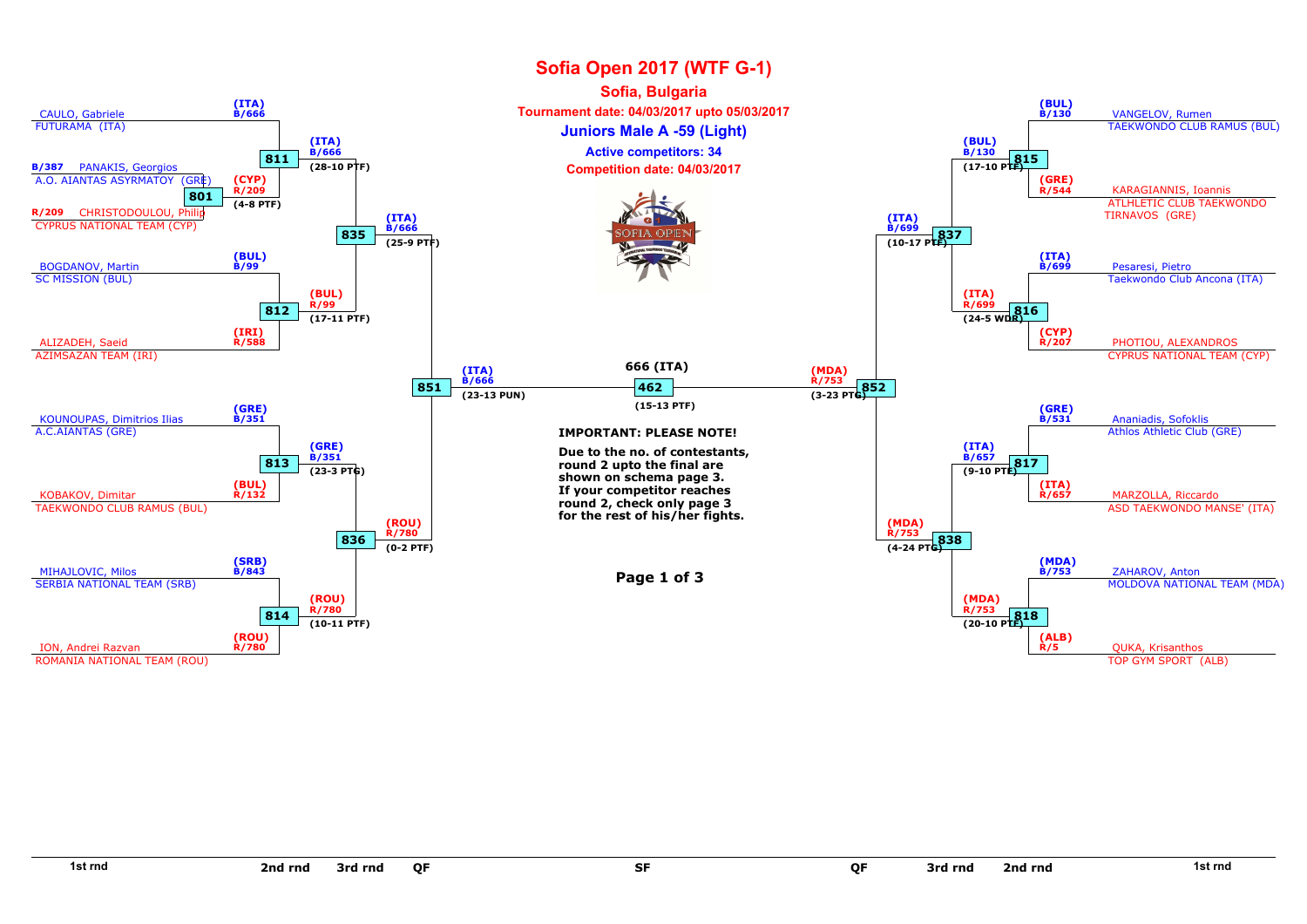

SF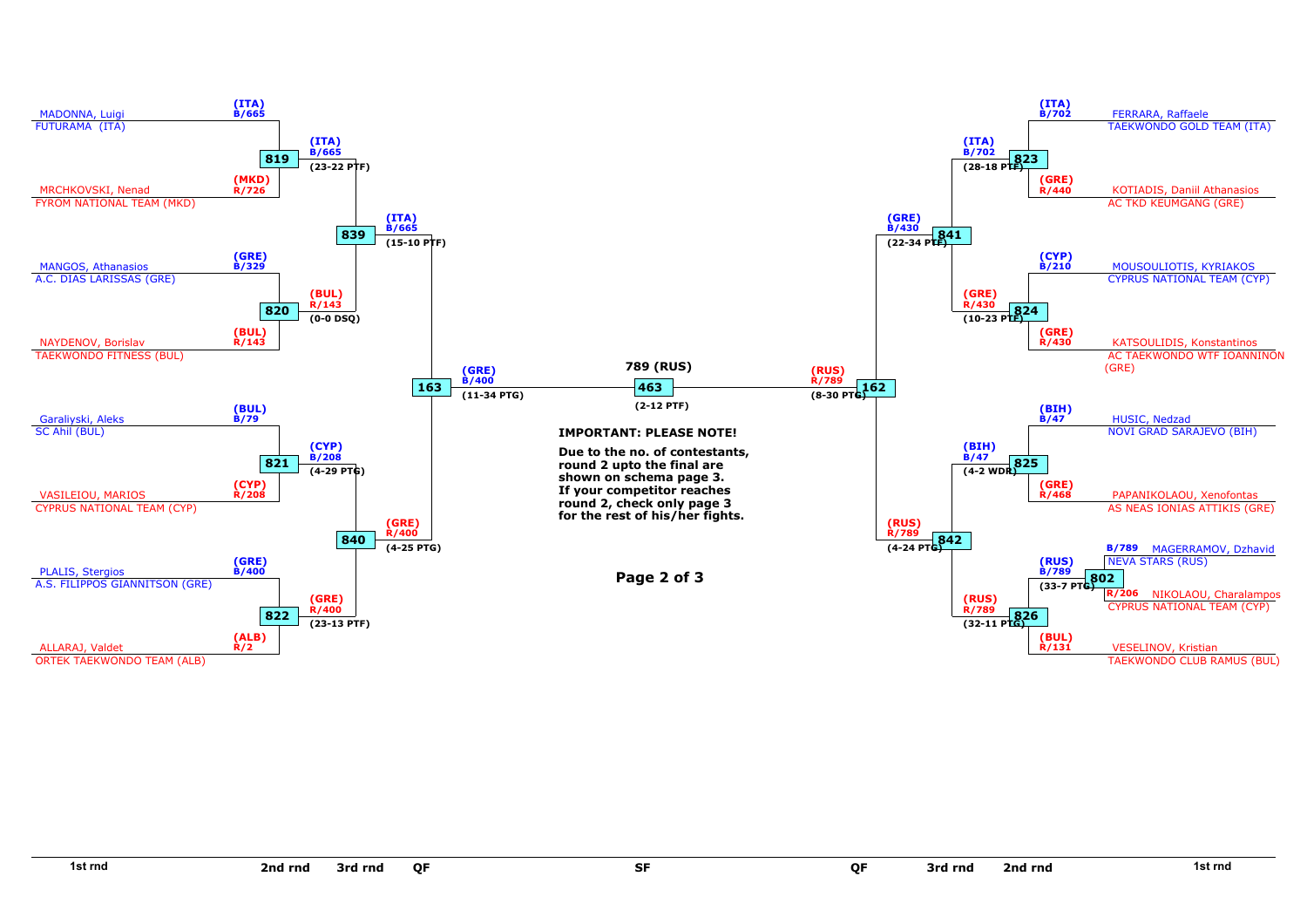

SF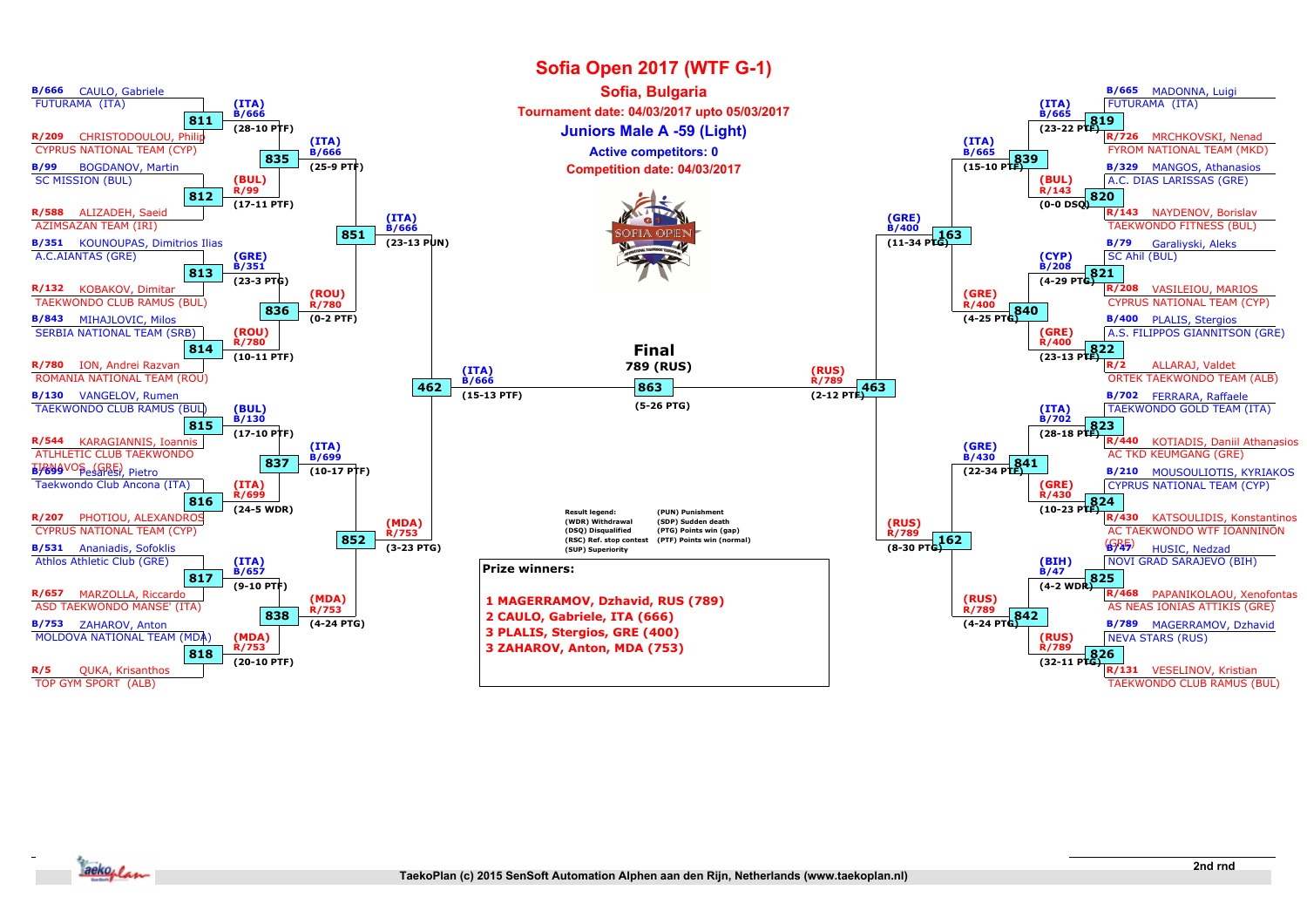

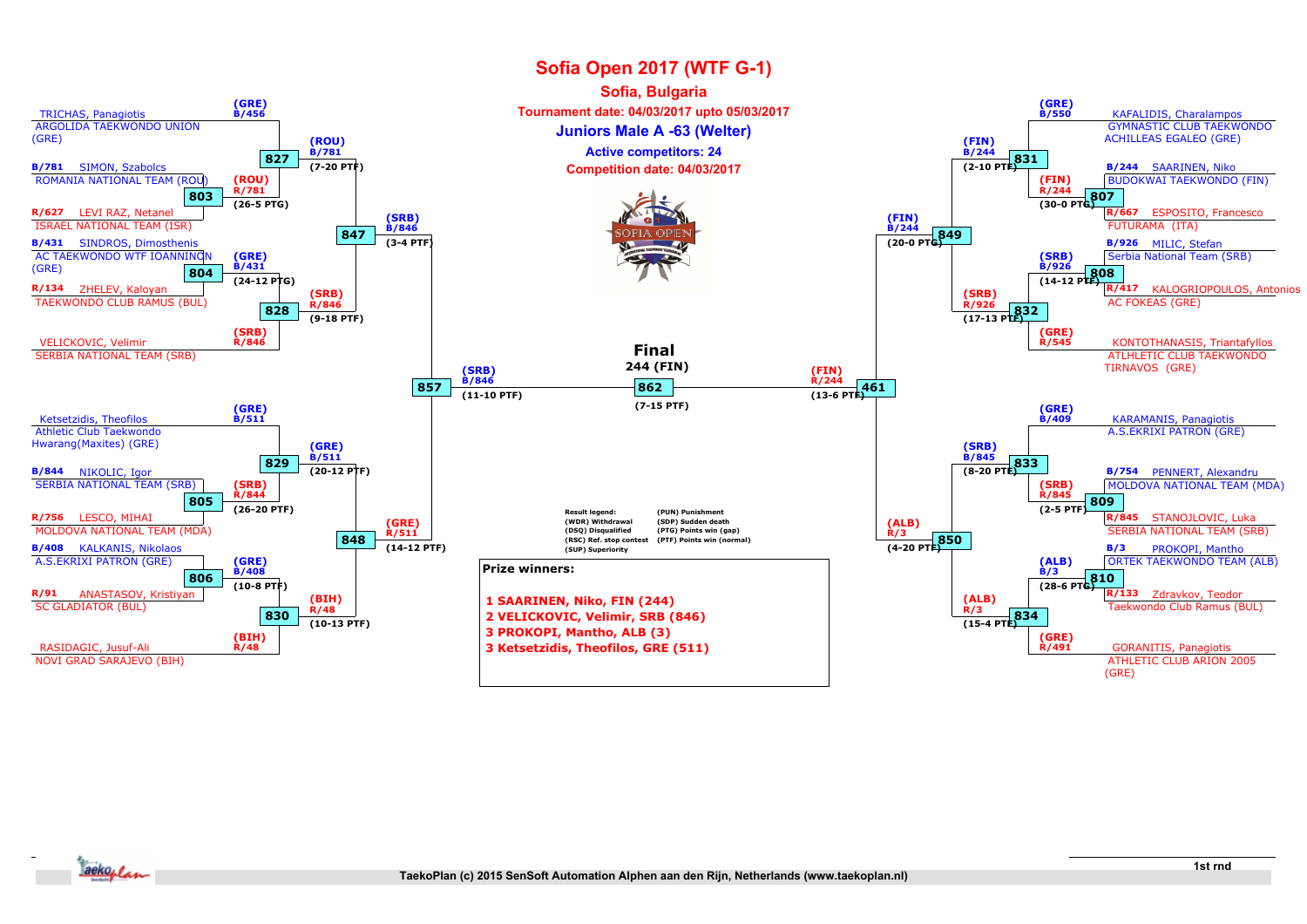